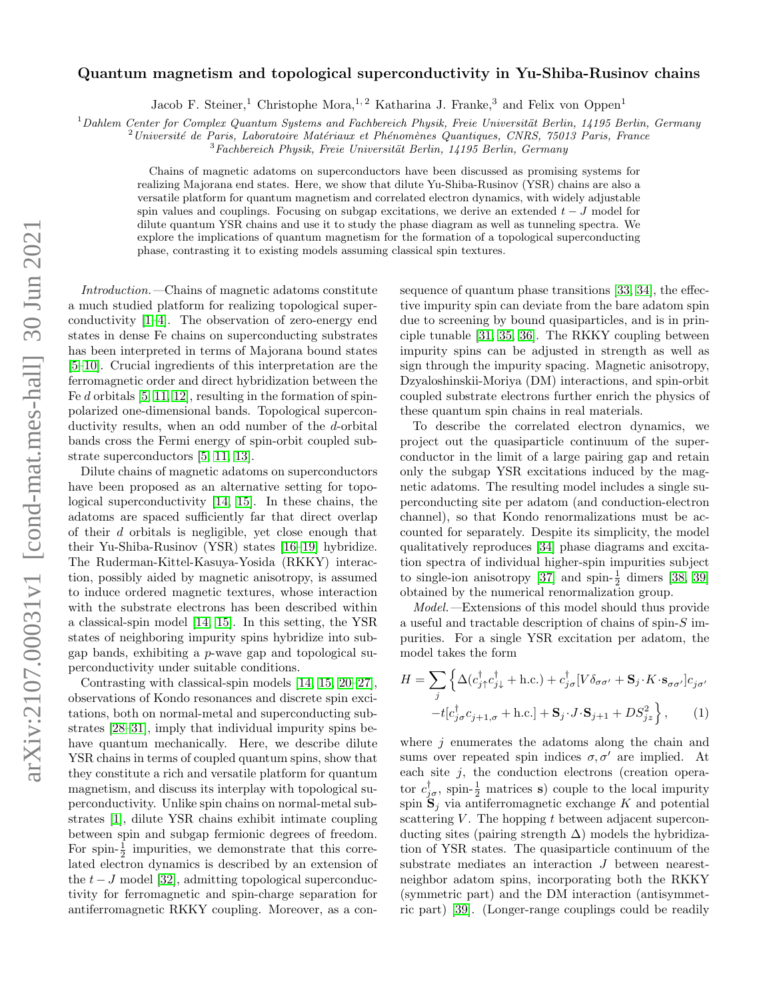# $arXiv:2107.00031v1$  [cond-mat.mes-hall] 30 Jun 2021 arXiv:2107.00031v1 [cond-mat.mes-hall] 30 Jun 2021

# Quantum magnetism and topological superconductivity in Yu-Shiba-Rusinov chains

Jacob F. Steiner,<sup>1</sup> Christophe Mora,<sup>1,2</sup> Katharina J. Franke,<sup>3</sup> and Felix von Oppen<sup>1</sup>

 $1$ Dahlem Center for Complex Quantum Systems and Fachbereich Physik, Freie Universität Berlin, 14195 Berlin, Germany

 $^{2}$ Université de Paris, Laboratoire Matériaux et Phénomènes Quantiques, CNRS, 75013 Paris, France

 $3Fachbereich Physik, Freie Universität Berlin, 14195 Berlin, Germany$ 

Chains of magnetic adatoms on superconductors have been discussed as promising systems for realizing Majorana end states. Here, we show that dilute Yu-Shiba-Rusinov (YSR) chains are also a versatile platform for quantum magnetism and correlated electron dynamics, with widely adjustable spin values and couplings. Focusing on subgap excitations, we derive an extended  $t - J$  model for dilute quantum YSR chains and use it to study the phase diagram as well as tunneling spectra. We explore the implications of quantum magnetism for the formation of a topological superconducting phase, contrasting it to existing models assuming classical spin textures.

Introduction.—Chains of magnetic adatoms constitute a much studied platform for realizing topological superconductivity [\[1–](#page-4-0)[4\]](#page-4-1). The observation of zero-energy end states in dense Fe chains on superconducting substrates has been interpreted in terms of Majorana bound states [\[5–](#page-4-2)[10\]](#page-4-3). Crucial ingredients of this interpretation are the ferromagnetic order and direct hybridization between the Fe d orbitals  $[5, 11, 12]$  $[5, 11, 12]$  $[5, 11, 12]$ , resulting in the formation of spinpolarized one-dimensional bands. Topological superconductivity results, when an odd number of the d-orbital bands cross the Fermi energy of spin-orbit coupled substrate superconductors [\[5,](#page-4-2) [11,](#page-4-4) [13\]](#page-4-6).

Dilute chains of magnetic adatoms on superconductors have been proposed as an alternative setting for topological superconductivity [\[14,](#page-4-7) [15\]](#page-4-8). In these chains, the adatoms are spaced sufficiently far that direct overlap of their d orbitals is negligible, yet close enough that their Yu-Shiba-Rusinov (YSR) states [\[16–](#page-4-9)[19\]](#page-4-10) hybridize. The Ruderman-Kittel-Kasuya-Yosida (RKKY) interaction, possibly aided by magnetic anisotropy, is assumed to induce ordered magnetic textures, whose interaction with the substrate electrons has been described within a classical-spin model [\[14,](#page-4-7) [15\]](#page-4-8). In this setting, the YSR states of neighboring impurity spins hybridize into subgap bands, exhibiting a p-wave gap and topological superconductivity under suitable conditions.

Contrasting with classical-spin models [\[14,](#page-4-7) [15,](#page-4-8) [20–](#page-4-11)[27\]](#page-4-12), observations of Kondo resonances and discrete spin excitations, both on normal-metal and superconducting substrates [\[28–](#page-4-13)[31\]](#page-4-14), imply that individual impurity spins behave quantum mechanically. Here, we describe dilute YSR chains in terms of coupled quantum spins, show that they constitute a rich and versatile platform for quantum magnetism, and discuss its interplay with topological superconductivity. Unlike spin chains on normal-metal substrates [\[1\]](#page-4-0), dilute YSR chains exhibit intimate coupling between spin and subgap fermionic degrees of freedom. For spin- $\frac{1}{2}$  impurities, we demonstrate that this correlated electron dynamics is described by an extension of the  $t-J$  model [\[32\]](#page-4-15), admitting topological superconductivity for ferromagnetic and spin-charge separation for antiferromagnetic RKKY coupling. Moreover, as a consequence of quantum phase transitions [\[33,](#page-4-16) [34\]](#page-4-17), the effective impurity spin can deviate from the bare adatom spin due to screening by bound quasiparticles, and is in principle tunable [\[31,](#page-4-14) [35,](#page-4-18) [36\]](#page-4-19). The RKKY coupling between impurity spins can be adjusted in strength as well as sign through the impurity spacing. Magnetic anisotropy, Dzyaloshinskii-Moriya (DM) interactions, and spin-orbit coupled substrate electrons further enrich the physics of these quantum spin chains in real materials.

To describe the correlated electron dynamics, we project out the quasiparticle continuum of the superconductor in the limit of a large pairing gap and retain only the subgap YSR excitations induced by the magnetic adatoms. The resulting model includes a single superconducting site per adatom (and conduction-electron channel), so that Kondo renormalizations must be accounted for separately. Despite its simplicity, the model qualitatively reproduces [\[34\]](#page-4-17) phase diagrams and excitation spectra of individual higher-spin impurities subject to single-ion anisotropy [\[37\]](#page-4-20) and spin- $\frac{1}{2}$  dimers [\[38,](#page-4-21) [39\]](#page-4-22) obtained by the numerical renormalization group.

Model.—Extensions of this model should thus provide a useful and tractable description of chains of spin-S impurities. For a single YSR excitation per adatom, the model takes the form

<span id="page-0-0"></span>
$$
H = \sum_{j} \left\{ \Delta (c_{j\uparrow}^{\dagger} c_{j\downarrow}^{\dagger} + \text{h.c.}) + c_{j\sigma}^{\dagger} [V \delta_{\sigma \sigma'} + \mathbf{S}_{j} \cdot K \cdot \mathbf{s}_{\sigma \sigma'}] c_{j\sigma'} - t [c_{j\sigma}^{\dagger} c_{j+1,\sigma} + \text{h.c.}] + \mathbf{S}_{j} \cdot J \cdot \mathbf{S}_{j+1} + DS_{jz}^{2} \right\}, \qquad (1)
$$

where  $j$  enumerates the adatoms along the chain and sums over repeated spin indices  $\sigma, \sigma'$  are implied. At each site  $j$ , the conduction electrons (creation operator  $c_{j\sigma}^{\dagger}$ , spin- $\frac{1}{2}$  matrices s) couple to the local impurity spin  $\mathbf{S}_j$  via antiferromagnetic exchange K and potential scattering  $V$ . The hopping  $t$  between adjacent superconducting sites (pairing strength  $\Delta$ ) models the hybridization of YSR states. The quasiparticle continuum of the substrate mediates an interaction J between nearestneighbor adatom spins, incorporating both the RKKY (symmetric part) and the DM interaction (antisymmetric part) [\[39\]](#page-4-22). (Longer-range couplings could be readily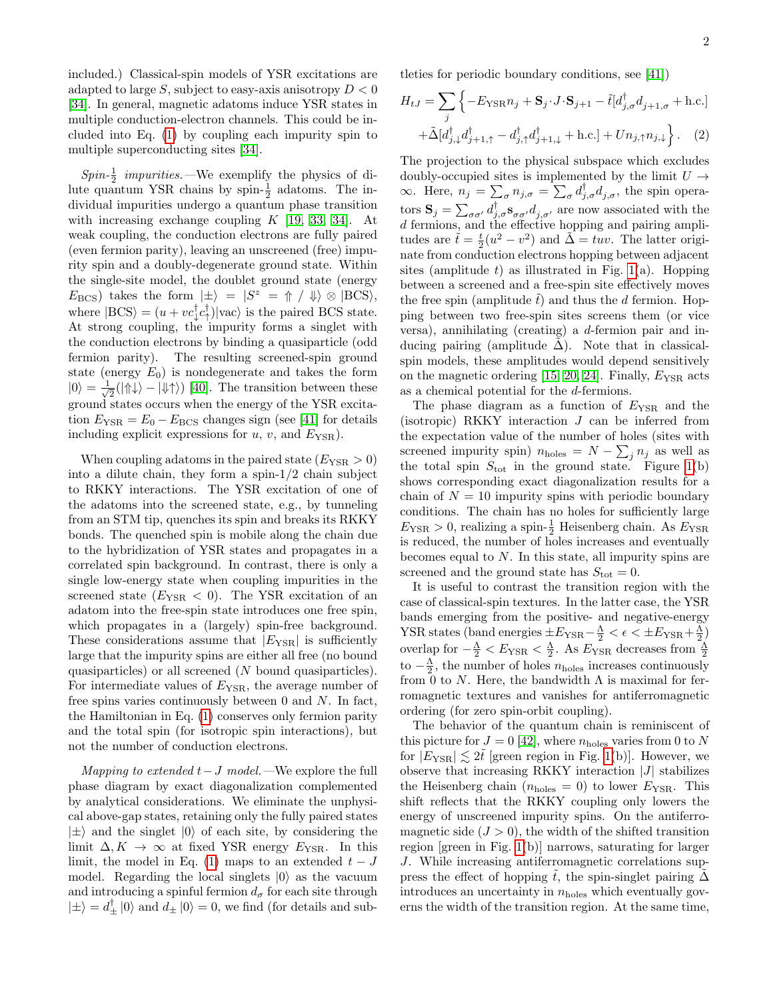included.) Classical-spin models of YSR excitations are adapted to large S, subject to easy-axis anisotropy  $D < 0$ [\[34\]](#page-4-17). In general, magnetic adatoms induce YSR states in multiple conduction-electron channels. This could be included into Eq. [\(1\)](#page-0-0) by coupling each impurity spin to multiple superconducting sites [\[34\]](#page-4-17).

 $Spin\text{-}\frac{1}{2}$  impurities. —We exemplify the physics of dilute quantum YSR chains by spin- $\frac{1}{2}$  adatoms. The individual impurities undergo a quantum phase transition with increasing exchange coupling  $K$  [\[19,](#page-4-10) [33,](#page-4-16) [34\]](#page-4-17). At weak coupling, the conduction electrons are fully paired (even fermion parity), leaving an unscreened (free) impurity spin and a doubly-degenerate ground state. Within the single-site model, the doublet ground state (energy  $E_{\rm BCS}$ ) takes the form  $|\pm\rangle = |S^z| = \Uparrow / \Downarrow \otimes |BCS\rangle$ , where  $|BCS\rangle = (u + vc_i^{\dagger}c_i^{\dagger})|vac\rangle$  is the paired BCS state. At strong coupling, the impurity forms a singlet with the conduction electrons by binding a quasiparticle (odd fermion parity). The resulting screened-spin ground state (energy  $E_0$ ) is nondegenerate and takes the form  $|0\rangle = -\frac{1}{6}$  $\frac{1}{2}(|{\Uparrow}{\downarrow}| - |{\Downarrow}{\uparrow}\rangle)$  [\[40\]](#page-4-23). The transition between these ground states occurs when the energy of the YSR excitation  $E_{\text{YSR}} = E_0 - E_{\text{BCS}}$  changes sign (see [\[41\]](#page-4-24) for details including explicit expressions for  $u, v$ , and  $E_{\text{YSR}}$ ).

When coupling adatoms in the paired state  $(E_{\text{YSR}} > 0)$ into a dilute chain, they form a spin-1/2 chain subject to RKKY interactions. The YSR excitation of one of the adatoms into the screened state, e.g., by tunneling from an STM tip, quenches its spin and breaks its RKKY bonds. The quenched spin is mobile along the chain due to the hybridization of YSR states and propagates in a correlated spin background. In contrast, there is only a single low-energy state when coupling impurities in the screened state  $(E_{\text{YSR}} < 0)$ . The YSR excitation of an adatom into the free-spin state introduces one free spin, which propagates in a (largely) spin-free background. These considerations assume that  $|E_{\text{YSR}}|$  is sufficiently large that the impurity spins are either all free (no bound quasiparticles) or all screened (N bound quasiparticles). For intermediate values of  $E_{\text{YSR}}$ , the average number of free spins varies continuously between  $0$  and  $N$ . In fact, the Hamiltonian in Eq. [\(1\)](#page-0-0) conserves only fermion parity and the total spin (for isotropic spin interactions), but not the number of conduction electrons.

Mapping to extended  $t-J$  model.—We explore the full phase diagram by exact diagonalization complemented by analytical considerations. We eliminate the unphysical above-gap states, retaining only the fully paired states  $|\pm\rangle$  and the singlet  $|0\rangle$  of each site, by considering the limit  $\Delta, K \to \infty$  at fixed YSR energy  $E_{\text{YSR}}$ . In this limit, the model in Eq. [\(1\)](#page-0-0) maps to an extended  $t - J$ model. Regarding the local singlets  $|0\rangle$  as the vacuum and introducing a spinful fermion  $d_{\sigma}$  for each site through  $|\pm\rangle = d_{\pm}^{\dagger} |0\rangle$  and  $d_{\pm} |0\rangle = 0$ , we find (for details and subtleties for periodic boundary conditions, see [\[41\]](#page-4-24))

<span id="page-1-0"></span>
$$
H_{tJ} = \sum_{j} \left\{ -E_{\text{YSR}} n_j + \mathbf{S}_j \cdot J \cdot \mathbf{S}_{j+1} - \tilde{t} [d_{j,\sigma}^{\dagger} d_{j+1,\sigma} + \text{h.c.}] + \tilde{\Delta} [d_{j,\downarrow}^{\dagger} d_{j+1,\uparrow}^{\dagger} - d_{j,\uparrow}^{\dagger} d_{j+1,\downarrow}^{\dagger} + \text{h.c.}] + U n_{j,\uparrow} n_{j,\downarrow} \right\}.
$$
 (2)

The projection to the physical subspace which excludes doubly-occupied sites is implemented by the limit  $U \rightarrow$  $\infty$ . Here,  $n_j = \sum_{\sigma} n_{j,\sigma} = \sum_{\sigma} d_{j,\sigma}^{\dagger} d_{j,\sigma}^{\dagger}$ , the spin operators  $S_j = \sum_{\sigma\sigma'} d_{j,\sigma}^{\dagger} s_{\sigma\sigma'} d_{j,\sigma'}$  are now associated with the d fermions, and the effective hopping and pairing amplitudes are  $\tilde{t} = \frac{t}{2}(u^2 - v^2)$  and  $\tilde{\Delta} = tuv$ . The latter originate from conduction electrons hopping between adjacent sites (amplitude t) as illustrated in Fig. [1\(](#page-2-0)a). Hopping between a screened and a free-spin site effectively moves the free spin (amplitude  $\tilde{t}$ ) and thus the d fermion. Hopping between two free-spin sites screens them (or vice versa), annihilating (creating) a d-fermion pair and inducing pairing (amplitude  $\tilde{\Delta}$ ). Note that in classicalspin models, these amplitudes would depend sensitively on the magnetic ordering  $[15, 20, 24]$  $[15, 20, 24]$  $[15, 20, 24]$ . Finally,  $E_{\text{YSR}}$  acts as a chemical potential for the d-fermions.

The phase diagram as a function of  $E_{\text{YSR}}$  and the (isotropic) RKKY interaction  $J$  can be inferred from the expectation value of the number of holes (sites with screened impurity spin)  $n_{\text{holes}} = N - \sum_j n_j$  as well as the total spin  $S_{\text{tot}}$  in the ground state. Figure [1\(](#page-2-0)b) shows corresponding exact diagonalization results for a chain of  $N = 10$  impurity spins with periodic boundary conditions. The chain has no holes for sufficiently large  $E_{\rm YSR} > 0$ , realizing a spin- $\frac{1}{2}$  Heisenberg chain. As  $E_{\rm YSR}$ is reduced, the number of holes increases and eventually becomes equal to  $N$ . In this state, all impurity spins are screened and the ground state has  $S_{\text{tot}} = 0$ .

It is useful to contrast the transition region with the case of classical-spin textures. In the latter case, the YSR bands emerging from the positive- and negative-energy YSR states (band energies  $\pm E_{\rm YSR} - \frac{\Lambda}{2} < \epsilon < \pm E_{\rm YSR} + \frac{\Lambda}{2}$ ) overlap for  $-\frac{\Lambda}{2} < E_{\text{YSR}} < \frac{\Lambda}{2}$ . As  $E_{\text{YSR}}$  decreases from  $\frac{\Lambda}{2}$ to  $-\frac{\Lambda}{2}$ , the number of holes  $n_{\text{holes}}$  increases continuously from 0 to N. Here, the bandwidth  $\Lambda$  is maximal for ferromagnetic textures and vanishes for antiferromagnetic ordering (for zero spin-orbit coupling).

The behavior of the quantum chain is reminiscent of this picture for  $J = 0$  [\[42\]](#page-4-26), where  $n_{\text{holes}}$  varies from 0 to N for  $|E_{\text{YSR}}| \lesssim 2t$  [green region in Fig. [1\(](#page-2-0)b)]. However, we observe that increasing RKKY interaction  $|J|$  stabilizes the Heisenberg chain ( $n_{\text{holes}} = 0$ ) to lower  $E_{\text{YSR}}$ . This shift reflects that the RKKY coupling only lowers the energy of unscreened impurity spins. On the antiferromagnetic side  $(J > 0)$ , the width of the shifted transition region [green in Fig. [1\(](#page-2-0)b)] narrows, saturating for larger J. While increasing antiferromagnetic correlations suppress the effect of hopping  $\tilde{t}$ , the spin-singlet pairing  $\tilde{\Delta}$ introduces an uncertainty in  $n_{\text{holes}}$  which eventually governs the width of the transition region. At the same time,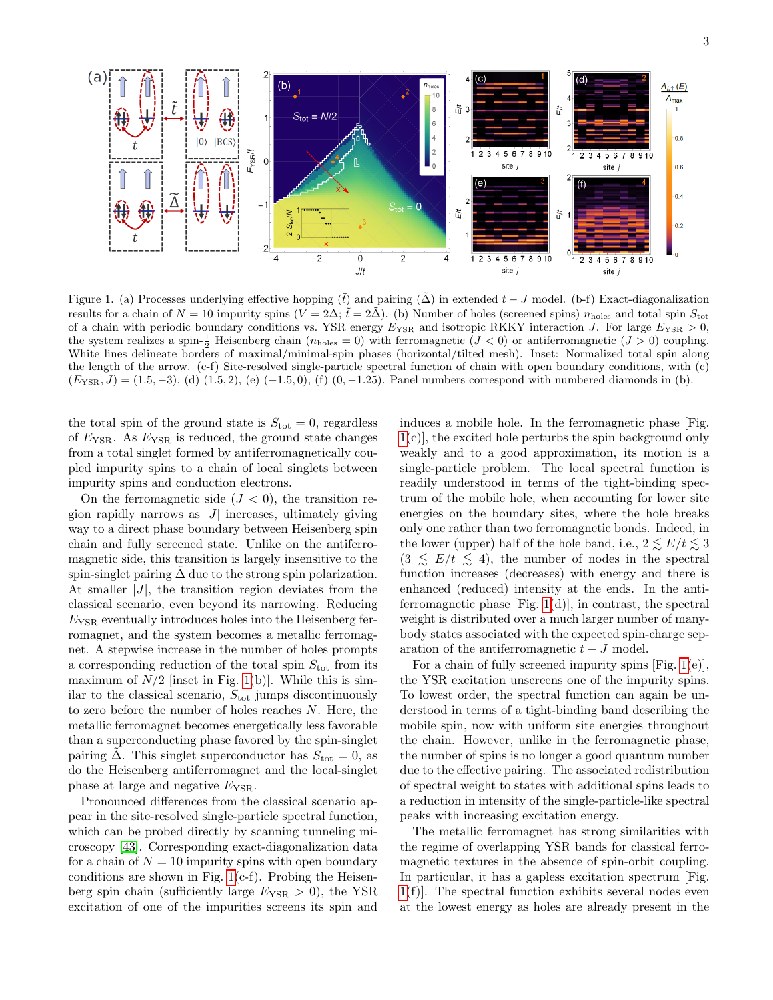

<span id="page-2-0"></span>Figure 1. (a) Processes underlying effective hopping  $(\tilde{t})$  and pairing  $(\Delta)$  in extended  $t - J$  model. (b-f) Exact-diagonalization results for a chain of  $N = 10$  impurity spins  $(V = 2\Delta; \tilde{t} = 2\tilde{\Delta})$ . (b) Number of holes (screened spins)  $n_{\text{holes}}$  and total spin  $S_{\text{tot}}$ of a chain with periodic boundary conditions vs. YSR energy  $E_{\text{YSR}}$  and isotropic RKKY interaction J. For large  $E_{\text{YSR}} > 0$ , the system realizes a spin- $\frac{1}{2}$  Heisenberg chain  $(n_{\text{holes}} = 0)$  with ferromagnetic  $(J < 0)$  or antiferromagnetic  $(J > 0)$  coupling. White lines delineate borders of maximal/minimal-spin phases (horizontal/tilted mesh). Inset: Normalized total spin along the length of the arrow. (c-f) Site-resolved single-particle spectral function of chain with open boundary conditions, with (c)  $(E_{\text{YSR}}, J) = (1.5, -3),$  (d)  $(1.5, 2),$  (e)  $(-1.5, 0),$  (f)  $(0, -1.25)$ . Panel numbers correspond with numbered diamonds in (b).

the total spin of the ground state is  $S_{\text{tot}} = 0$ , regardless of  $E_{\text{YSR}}$ . As  $E_{\text{YSR}}$  is reduced, the ground state changes from a total singlet formed by antiferromagnetically coupled impurity spins to a chain of local singlets between impurity spins and conduction electrons.

On the ferromagnetic side  $(J < 0)$ , the transition region rapidly narrows as  $|J|$  increases, ultimately giving way to a direct phase boundary between Heisenberg spin chain and fully screened state. Unlike on the antiferromagnetic side, this transition is largely insensitive to the spin-singlet pairing  $\tilde{\Delta}$  due to the strong spin polarization. At smaller  $|J|$ , the transition region deviates from the classical scenario, even beyond its narrowing. Reducing  $E_{\text{YSR}}$  eventually introduces holes into the Heisenberg ferromagnet, and the system becomes a metallic ferromagnet. A stepwise increase in the number of holes prompts a corresponding reduction of the total spin  $S_{\text{tot}}$  from its maximum of  $N/2$  [inset in Fig. [1\(](#page-2-0)b)]. While this is similar to the classical scenario,  $S_{\text{tot}}$  jumps discontinuously to zero before the number of holes reaches N. Here, the metallic ferromagnet becomes energetically less favorable than a superconducting phase favored by the spin-singlet pairing  $\Delta$ . This singlet superconductor has  $S_{\text{tot}} = 0$ , as do the Heisenberg antiferromagnet and the local-singlet phase at large and negative  $E_{\text{YSR}}$ .

Pronounced differences from the classical scenario appear in the site-resolved single-particle spectral function, which can be probed directly by scanning tunneling microscopy [\[43\]](#page-4-27). Corresponding exact-diagonalization data for a chain of  $N = 10$  impurity spins with open boundary conditions are shown in Fig.  $1(c-f)$ . Probing the Heisenberg spin chain (sufficiently large  $E_{\text{YSR}} > 0$ ), the YSR excitation of one of the impurities screens its spin and

induces a mobile hole. In the ferromagnetic phase [Fig. [1\(](#page-2-0)c)], the excited hole perturbs the spin background only weakly and to a good approximation, its motion is a single-particle problem. The local spectral function is readily understood in terms of the tight-binding spectrum of the mobile hole, when accounting for lower site energies on the boundary sites, where the hole breaks only one rather than two ferromagnetic bonds. Indeed, in the lower (upper) half of the hole band, i.e.,  $2 \leq E/t \leq 3$  $(3 \leq E/t \leq 4)$ , the number of nodes in the spectral function increases (decreases) with energy and there is enhanced (reduced) intensity at the ends. In the antiferromagnetic phase  $[Fig. 1(d)]$  $[Fig. 1(d)]$  $[Fig. 1(d)]$ , in contrast, the spectral weight is distributed over a much larger number of manybody states associated with the expected spin-charge separation of the antiferromagnetic  $t-J$  model.

For a chain of fully screened impurity spins  $[Fig. 1(e)],$  $[Fig. 1(e)],$  $[Fig. 1(e)],$ the YSR excitation unscreens one of the impurity spins. To lowest order, the spectral function can again be understood in terms of a tight-binding band describing the mobile spin, now with uniform site energies throughout the chain. However, unlike in the ferromagnetic phase, the number of spins is no longer a good quantum number due to the effective pairing. The associated redistribution of spectral weight to states with additional spins leads to a reduction in intensity of the single-particle-like spectral peaks with increasing excitation energy.

The metallic ferromagnet has strong similarities with the regime of overlapping YSR bands for classical ferromagnetic textures in the absence of spin-orbit coupling. In particular, it has a gapless excitation spectrum [Fig. [1\(](#page-2-0)f)]. The spectral function exhibits several nodes even at the lowest energy as holes are already present in the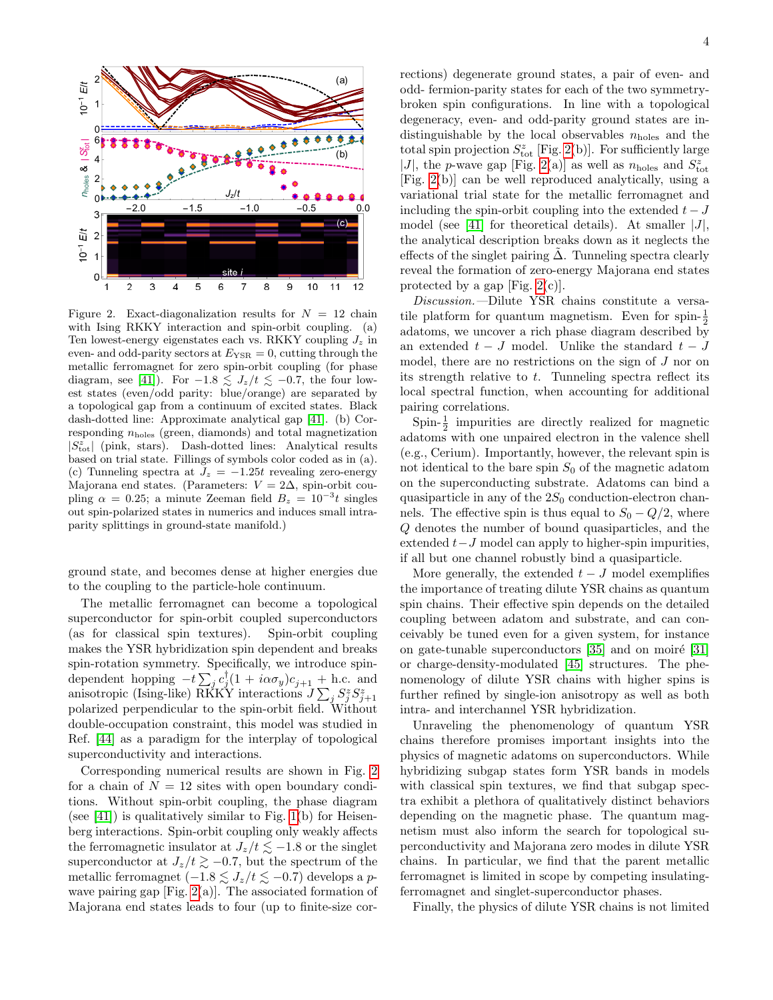

<span id="page-3-0"></span>Figure 2. Exact-diagonalization results for  $N = 12$  chain with Ising RKKY interaction and spin-orbit coupling. (a) Ten lowest-energy eigenstates each vs. RKKY coupling  $J_z$  in even- and odd-parity sectors at  $E_{\text{YSR}} = 0$ , cutting through the metallic ferromagnet for zero spin-orbit coupling (for phase diagram, see [\[41\]](#page-4-24)). For  $-1.8 \lesssim J_z/t \lesssim -0.7$ , the four lowest states (even/odd parity: blue/orange) are separated by a topological gap from a continuum of excited states. Black dash-dotted line: Approximate analytical gap [\[41\]](#page-4-24). (b) Corresponding  $n_{\text{holes}}$  (green, diamonds) and total magnetization  $|S_{\text{tot}}^z|$  (pink, stars). Dash-dotted lines: Analytical results based on trial state. Fillings of symbols color coded as in (a). (c) Tunneling spectra at  $J_z = -1.25t$  revealing zero-energy Majorana end states. (Parameters:  $V = 2\Delta$ , spin-orbit coupling  $\alpha = 0.25$ ; a minute Zeeman field  $B_z = 10^{-3}t$  singles out spin-polarized states in numerics and induces small intraparity splittings in ground-state manifold.)

ground state, and becomes dense at higher energies due to the coupling to the particle-hole continuum.

The metallic ferromagnet can become a topological superconductor for spin-orbit coupled superconductors (as for classical spin textures). Spin-orbit coupling makes the YSR hybridization spin dependent and breaks spin-rotation symmetry. Specifically, we introduce spindependent hopping  $-t\sum_j c_j^{\dagger}(1+i\alpha\sigma_y)c_{j+1} + \text{h.c.}$  and anisotropic (Ising-like) RKKY interactions  $\bar{J} \sum_j S_j^z S_{j+1}^z$ polarized perpendicular to the spin-orbit field. Without double-occupation constraint, this model was studied in Ref. [\[44\]](#page-4-28) as a paradigm for the interplay of topological superconductivity and interactions.

Corresponding numerical results are shown in Fig. [2](#page-3-0) for a chain of  $N = 12$  sites with open boundary conditions. Without spin-orbit coupling, the phase diagram (see [\[41\]](#page-4-24)) is qualitatively similar to Fig.  $1(b)$  for Heisenberg interactions. Spin-orbit coupling only weakly affects the ferromagnetic insulator at  $J_z/t \lesssim -1.8$  or the singlet superconductor at  $J_z/t \ge -0.7$ , but the spectrum of the metallic ferromagnet (−1.8  $\lesssim J_z/t \lesssim$  −0.7) develops a pwave pairing gap  $[Fig. 2(a)].$  $[Fig. 2(a)].$  $[Fig. 2(a)].$  The associated formation of Majorana end states leads to four (up to finite-size corrections) degenerate ground states, a pair of even- and odd- fermion-parity states for each of the two symmetrybroken spin configurations. In line with a topological degeneracy, even- and odd-parity ground states are indistinguishable by the local observables  $n_{\text{holes}}$  and the total spin projection  $S^z_{\text{tot}}$  [Fig. [2\(](#page-3-0)b)]. For sufficiently large  $|J|,$  the  $p\mbox{-wave}$  gap [Fig. [2\(](#page-3-0)a)] as well as<br>  $n_{\mbox{\small holes}}$  and  $S^z_{\mbox{\small tot}}$ [Fig. [2\(](#page-3-0)b)] can be well reproduced analytically, using a variational trial state for the metallic ferromagnet and including the spin-orbit coupling into the extended  $t - J$ model (see [\[41\]](#page-4-24) for theoretical details). At smaller  $|J|$ , the analytical description breaks down as it neglects the effects of the singlet pairing  $\Delta$ . Tunneling spectra clearly reveal the formation of zero-energy Majorana end states protected by a gap [Fig.  $2(c)$ ].

Discussion.—Dilute YSR chains constitute a versatile platform for quantum magnetism. Even for spin- $\frac{1}{2}$ adatoms, we uncover a rich phase diagram described by an extended  $t - J$  model. Unlike the standard  $t - J$ model, there are no restrictions on the sign of J nor on its strength relative to  $t$ . Tunneling spectra reflect its local spectral function, when accounting for additional pairing correlations.

Spin- $\frac{1}{2}$  impurities are directly realized for magnetic adatoms with one unpaired electron in the valence shell (e.g., Cerium). Importantly, however, the relevant spin is not identical to the bare spin  $S_0$  of the magnetic adatom on the superconducting substrate. Adatoms can bind a quasiparticle in any of the  $2S_0$  conduction-electron channels. The effective spin is thus equal to  $S_0 - Q/2$ , where Q denotes the number of bound quasiparticles, and the extended  $t-J$  model can apply to higher-spin impurities, if all but one channel robustly bind a quasiparticle.

More generally, the extended  $t - J$  model exemplifies the importance of treating dilute YSR chains as quantum spin chains. Their effective spin depends on the detailed coupling between adatom and substrate, and can conceivably be tuned even for a given system, for instance on gate-tunable superconductors  $[35]$  and on moiré  $[31]$ or charge-density-modulated [\[45\]](#page-4-29) structures. The phenomenology of dilute YSR chains with higher spins is further refined by single-ion anisotropy as well as both intra- and interchannel YSR hybridization.

Unraveling the phenomenology of quantum YSR chains therefore promises important insights into the physics of magnetic adatoms on superconductors. While hybridizing subgap states form YSR bands in models with classical spin textures, we find that subgap spectra exhibit a plethora of qualitatively distinct behaviors depending on the magnetic phase. The quantum magnetism must also inform the search for topological superconductivity and Majorana zero modes in dilute YSR chains. In particular, we find that the parent metallic ferromagnet is limited in scope by competing insulatingferromagnet and singlet-superconductor phases.

Finally, the physics of dilute YSR chains is not limited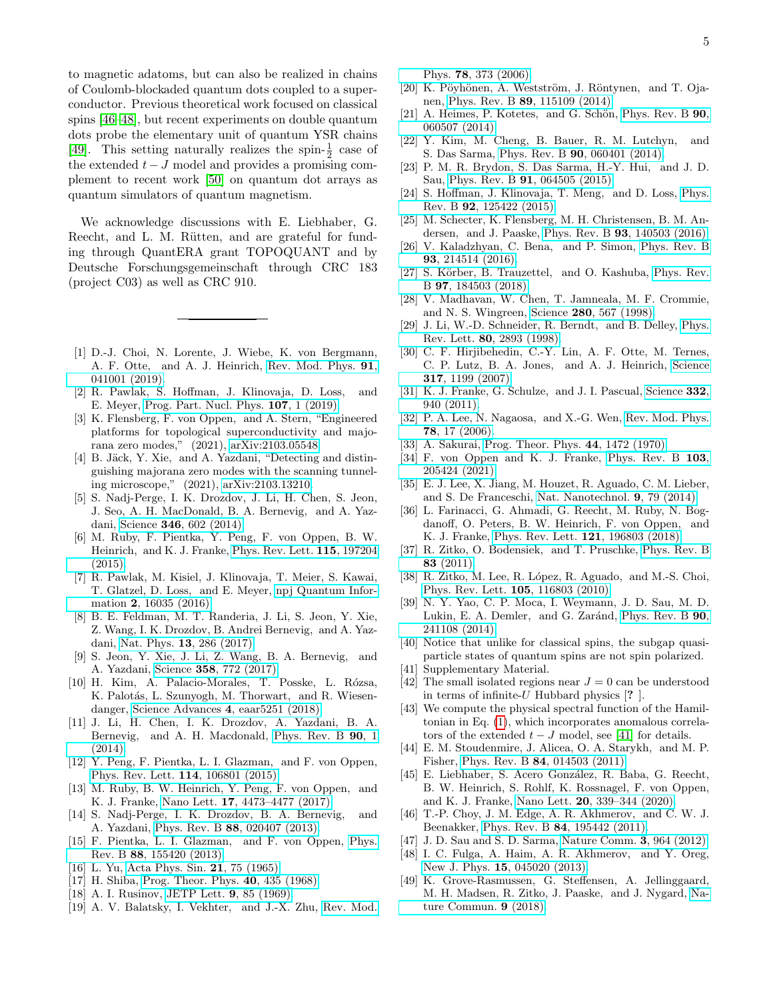to magnetic adatoms, but can also be realized in chains of Coulomb-blockaded quantum dots coupled to a superconductor. Previous theoretical work focused on classical spins [\[46](#page-4-30)[–48\]](#page-4-31), but recent experiments on double quantum dots probe the elementary unit of quantum YSR chains [\[49\]](#page-4-32). This setting naturally realizes the spin- $\frac{1}{2}$  case of the extended  $t - J$  model and provides a promising complement to recent work [\[50\]](#page-5-0) on quantum dot arrays as quantum simulators of quantum magnetism.

We acknowledge discussions with E. Liebhaber, G. Reecht, and L. M. Rütten, and are grateful for funding through QuantERA grant TOPOQUANT and by Deutsche Forschungsgemeinschaft through CRC 183 (project C03) as well as CRC 910.

- <span id="page-4-0"></span>[1] D.-J. Choi, N. Lorente, J. Wiebe, K. von Bergmann, A. F. Otte, and A. J. Heinrich, [Rev. Mod. Phys.](http://dx.doi.org/ 10.1103/RevModPhys.91.041001) 91, [041001 \(2019\).](http://dx.doi.org/ 10.1103/RevModPhys.91.041001)
- [2] R. Pawlak, S. Hoffman, J. Klinovaja, D. Loss, and E. Meyer, [Prog. Part. Nucl. Phys.](http://dx.doi.org/ 10.1016/j.ppnp.2019.04.004) 107, 1 (2019).
- [3] K. Flensberg, F. von Oppen, and A. Stern, "Engineered platforms for topological superconductivity and majorana zero modes," (2021), [arXiv:2103.05548.](http://arxiv.org/abs/2103.05548)
- <span id="page-4-1"></span>[4] B. Jäck, Y. Xie, and A. Yazdani, "Detecting and distinguishing majorana zero modes with the scanning tunneling microscope," (2021), [arXiv:2103.13210.](http://arxiv.org/abs/2103.13210)
- <span id="page-4-2"></span>[5] S. Nadj-Perge, I. K. Drozdov, J. Li, H. Chen, S. Jeon, J. Seo, A. H. MacDonald, B. A. Bernevig, and A. Yazdani, Science 346[, 602 \(2014\).](http://dx.doi.org/10.1126/science.1259327)
- [6] M. Ruby, F. Pientka, Y. Peng, F. von Oppen, B. W. Heinrich, and K. J. Franke, [Phys. Rev. Lett.](http://dx.doi.org/ 10.1103/PhysRevLett.115.197204) 115, 197204 [\(2015\).](http://dx.doi.org/ 10.1103/PhysRevLett.115.197204)
- [7] R. Pawlak, M. Kisiel, J. Klinovaja, T. Meier, S. Kawai, T. Glatzel, D. Loss, and E. Meyer, [npj Quantum Infor](https://www.nature.com/articles/npjqi201635)mation 2[, 16035 \(2016\).](https://www.nature.com/articles/npjqi201635)
- [8] B. E. Feldman, M. T. Randeria, J. Li, S. Jeon, Y. Xie, Z. Wang, I. K. Drozdov, B. Andrei Bernevig, and A. Yazdani, Nat. Phys. 13[, 286 \(2017\).](http://dx.doi.org/10.1038/nphys3947)
- [9] S. Jeon, Y. Xie, J. Li, Z. Wang, B. A. Bernevig, and A. Yazdani, Science 358[, 772 \(2017\).](http://dx.doi.org/10.1126/science.aan3670)
- <span id="page-4-3"></span>[10] H. Kim, A. Palacio-Morales, T. Posske, L. Rózsa, K. Palotás, L. Szunyogh, M. Thorwart, and R. Wiesendanger, [Science Advances](http://dx.doi.org/ 10.1126/sciadv.aar5251) 4, eaar5251 (2018).
- <span id="page-4-4"></span>[11] J. Li, H. Chen, I. K. Drozdov, A. Yazdani, B. A. Bernevig, and A. H. Macdonald, [Phys. Rev. B](http://dx.doi.org/ 10.1103/PhysRevB.90.235433) 90, 1 [\(2014\).](http://dx.doi.org/ 10.1103/PhysRevB.90.235433)
- <span id="page-4-5"></span>[12] Y. Peng, F. Pientka, L. I. Glazman, and F. von Oppen, [Phys. Rev. Lett.](http://dx.doi.org/10.1103/PhysRevLett.114.106801) 114, 106801 (2015).
- <span id="page-4-6"></span>[13] M. Ruby, B. W. Heinrich, Y. Peng, F. von Oppen, and K. J. Franke, Nano Lett. 17[, 4473–4477 \(2017\).](http://dx.doi.org/ 10.1021/acs.nanolett.7b01728)
- <span id="page-4-7"></span>[14] S. Nadj-Perge, I. K. Drozdov, B. A. Bernevig, and A. Yazdani, Phys. Rev. B 88[, 020407 \(2013\).](http://dx.doi.org/10.1103/PhysRevB.88.020407)
- <span id="page-4-8"></span>[15] F. Pientka, L. I. Glazman, and F. von Oppen, [Phys.](http://dx.doi.org/10.1103/PhysRevB.88.155420) Rev. B 88[, 155420 \(2013\).](http://dx.doi.org/10.1103/PhysRevB.88.155420)
- <span id="page-4-9"></span>[16] L. Yu, [Acta Phys. Sin.](http://dx.doi.org/10.7498/aps.21.75) 21, 75 (1965).
- [17] H. Shiba, [Prog. Theor. Phys.](http://dx.doi.org/10.1143/PTP.40.435) 40, 435 (1968).
- [18] A. I. Rusinov, [JETP Lett.](http://www.jetpletters.ac.ru/ps/1658/article{_}25295.shtml) **9**, 85 (1969).
- <span id="page-4-10"></span>[19] A. V. Balatsky, I. Vekhter, and J.-X. Zhu, [Rev. Mod.](http://dx.doi.org/10.1103/RevModPhys.78.373)

Phys. 78[, 373 \(2006\).](http://dx.doi.org/10.1103/RevModPhys.78.373)

- <span id="page-4-11"></span>[20] K. Pöyhönen, A. Westström, J. Röntynen, and T. Ojanen, Phys. Rev. B 89[, 115109 \(2014\).](http://dx.doi.org/10.1103/PhysRevB.89.115109)
- [21] A. Heimes, P. Kotetes, and G. Schön, [Phys. Rev. B](http://dx.doi.org/10.1103/PhysRevB.90.060507)  $90$ , [060507 \(2014\).](http://dx.doi.org/10.1103/PhysRevB.90.060507)
- [22] Y. Kim, M. Cheng, B. Bauer, R. M. Lutchyn, and S. Das Sarma, Phys. Rev. B 90[, 060401 \(2014\).](http://dx.doi.org/ 10.1103/PhysRevB.90.060401)
- [23] P. M. R. Brydon, S. Das Sarma, H.-Y. Hui, and J. D. Sau, Phys. Rev. B 91[, 064505 \(2015\).](http://dx.doi.org/10.1103/PhysRevB.91.064505)
- <span id="page-4-25"></span>[24] S. Hoffman, J. Klinovaja, T. Meng, and D. Loss, [Phys.](http://dx.doi.org/ 10.1103/PhysRevB.92.125422) Rev. B 92[, 125422 \(2015\).](http://dx.doi.org/ 10.1103/PhysRevB.92.125422)
- [25] M. Schecter, K. Flensberg, M. H. Christensen, B. M. Andersen, and J. Paaske, Phys. Rev. B 93[, 140503 \(2016\).](http://dx.doi.org/10.1103/PhysRevB.93.140503)
- [26] V. Kaladzhyan, C. Bena, and P. Simon, [Phys. Rev. B](http://dx.doi.org/10.1103/PhysRevB.93.214514) 93[, 214514 \(2016\).](http://dx.doi.org/10.1103/PhysRevB.93.214514)
- <span id="page-4-12"></span>[27] S. Körber, B. Trauzettel, and O. Kashuba, [Phys. Rev.](http://dx.doi.org/10.1103/PhysRevB.97.184503) B 97[, 184503 \(2018\).](http://dx.doi.org/10.1103/PhysRevB.97.184503)
- <span id="page-4-13"></span>[28] V. Madhavan, W. Chen, T. Jamneala, M. F. Crommie, and N. S. Wingreen, Science 280[, 567 \(1998\).](http://dx.doi.org/ 10.1126/science.280.5363.567)
- [29] J. Li, W.-D. Schneider, R. Berndt, and B. Delley, [Phys.](http://dx.doi.org/ 10.1103/PhysRevLett.80.2893) Rev. Lett. 80[, 2893 \(1998\).](http://dx.doi.org/ 10.1103/PhysRevLett.80.2893)
- [30] C. F. Hirjibehedin, C.-Y. Lin, A. F. Otte, M. Ternes, C. P. Lutz, B. A. Jones, and A. J. Heinrich, [Science](http://dx.doi.org/ 10.1126/science.1146110) 317[, 1199 \(2007\).](http://dx.doi.org/ 10.1126/science.1146110)
- <span id="page-4-14"></span>[31] K. J. Franke, G. Schulze, and J. I. Pascual, [Science](http://dx.doi.org/10.1126/science.1202204) 332, [940 \(2011\).](http://dx.doi.org/10.1126/science.1202204)
- <span id="page-4-15"></span>[32] P. A. Lee, N. Nagaosa, and X.-G. Wen, [Rev. Mod. Phys.](http://dx.doi.org/10.1103/RevModPhys.78.17) 78[, 17 \(2006\).](http://dx.doi.org/10.1103/RevModPhys.78.17)
- <span id="page-4-16"></span>[33] A. Sakurai, [Prog. Theor. Phys.](http://dx.doi.org/10.1143/PTP.44.1472) 44, 1472 (1970).
- <span id="page-4-17"></span>[34] F. von Oppen and K. J. Franke, [Phys. Rev. B](http://dx.doi.org/10.1103/PhysRevB.103.205424) 103, [205424 \(2021\).](http://dx.doi.org/10.1103/PhysRevB.103.205424)
- <span id="page-4-18"></span>[35] E. J. Lee, X. Jiang, M. Houzet, R. Aguado, C. M. Lieber, and S. De Franceschi, [Nat. Nanotechnol.](http://dx.doi.org/ 10.1038/nnano.2013.267) 9, 79 (2014).
- <span id="page-4-19"></span>[36] L. Farinacci, G. Ahmadi, G. Reecht, M. Ruby, N. Bogdanoff, O. Peters, B. W. Heinrich, F. von Oppen, and K. J. Franke, [Phys. Rev. Lett.](http://dx.doi.org/ 10.1103/PhysRevLett.121.196803) 121, 196803 (2018).
- <span id="page-4-20"></span>[37] R. Zitko, O. Bodensiek, and T. Pruschke, [Phys. Rev. B](http://dx.doi.org/10.1103/PhysRevB.83.054512) 83 [\(2011\).](http://dx.doi.org/10.1103/PhysRevB.83.054512)
- <span id="page-4-21"></span>[38] R. Zitko, M. Lee, R. López, R. Aguado, and M.-S. Choi, [Phys. Rev. Lett.](http://dx.doi.org/ 10.1103/PhysRevLett.105.116803) 105, 116803 (2010).
- <span id="page-4-22"></span>[39] N. Y. Yao, C. P. Moca, I. Weymann, J. D. Sau, M. D. Lukin, E. A. Demler, and G. Zaránd, [Phys. Rev. B](http://dx.doi.org/ 10.1103/PhysRevB.90.241108) 90, [241108 \(2014\).](http://dx.doi.org/ 10.1103/PhysRevB.90.241108)
- <span id="page-4-23"></span>[40] Notice that unlike for classical spins, the subgap quasiparticle states of quantum spins are not spin polarized.
- <span id="page-4-24"></span>[41] Supplementary Material.
- <span id="page-4-26"></span>[42] The small isolated regions near  $J = 0$  can be understood in terms of infinite-U Hubbard physics [? ].
- <span id="page-4-27"></span>[43] We compute the physical spectral function of the Hamiltonian in Eq. [\(1\)](#page-0-0), which incorporates anomalous correlators of the extended  $t - J$  model, see [\[41\]](#page-4-24) for details.
- <span id="page-4-28"></span>[44] E. M. Stoudenmire, J. Alicea, O. A. Starykh, and M. P. Fisher, Phys. Rev. B 84[, 014503 \(2011\).](http://dx.doi.org/10.1103/PhysRevB.84.014503)
- <span id="page-4-29"></span>[45] E. Liebhaber, S. Acero González, R. Baba, G. Reecht, B. W. Heinrich, S. Rohlf, K. Rossnagel, F. von Oppen, and K. J. Franke, Nano Lett. 20[, 339–344 \(2020\).](http://dx.doi.org/ 10.1021/acs.nanolett.9b03988)
- <span id="page-4-30"></span>[46] T.-P. Choy, J. M. Edge, A. R. Akhmerov, and C. W. J. Beenakker, Phys. Rev. B 84[, 195442 \(2011\).](http://dx.doi.org/10.1103/PhysRevB.84.195442)
- [47] J. D. Sau and S. D. Sarma, [Nature Comm.](http://dx.doi.org/10.1038/ncomms1966) 3, 964 (2012).
- <span id="page-4-31"></span>[48] I. C. Fulga, A. Haim, A. R. Akhmerov, and Y. Oreg, New J. Phys. 15[, 045020 \(2013\).](http://dx.doi.org/ 10.1088/1367-2630/15/4/045020)
- <span id="page-4-32"></span>[49] K. Grove-Rasmussen, G. Steffensen, A. Jellinggaard, M. H. Madsen, R. Zitko, J. Paaske, and J. Nygard, [Na](http://dx.doi.org/10.1038/s41467-018-04683-x)[ture Commun.](http://dx.doi.org/10.1038/s41467-018-04683-x) 9 (2018).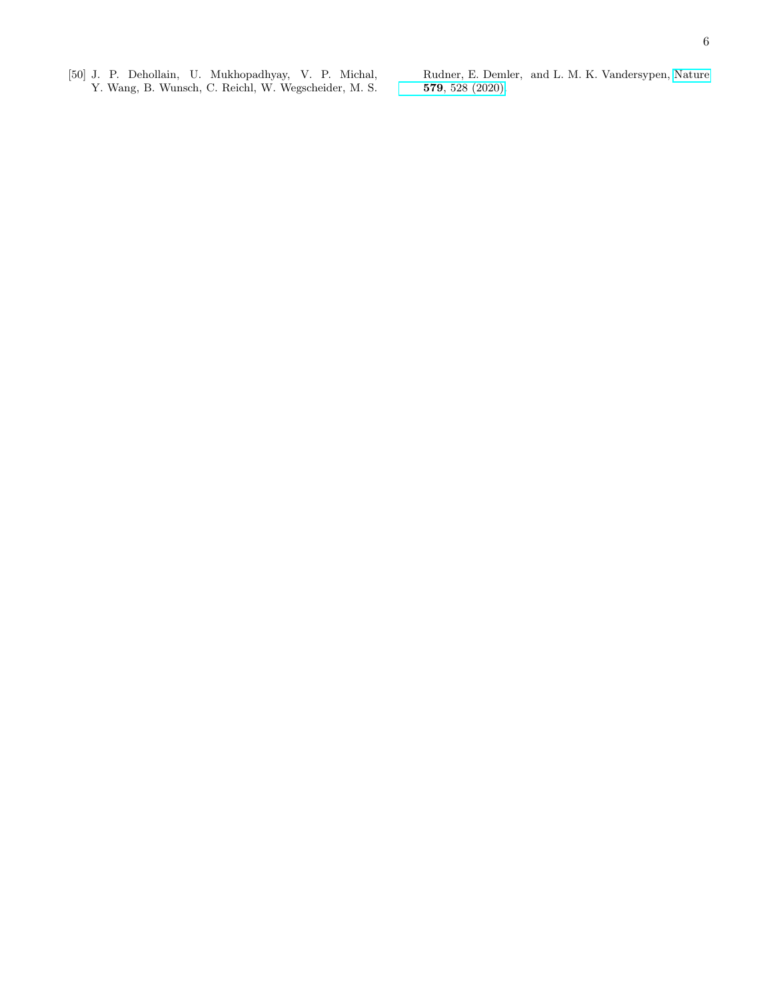<span id="page-5-0"></span>[50] J. P. Dehollain, U. Mukhopadhyay, V. P. Michal, Y. Wang, B. Wunsch, C. Reichl, W. Wegscheider, M. S. Rudner, E. Demler, and L. M. K. Vandersypen, [Nature](http://dx.doi.org/ 10.1038/s41586-020-2051-0) 579[, 528 \(2020\).](http://dx.doi.org/ 10.1038/s41586-020-2051-0)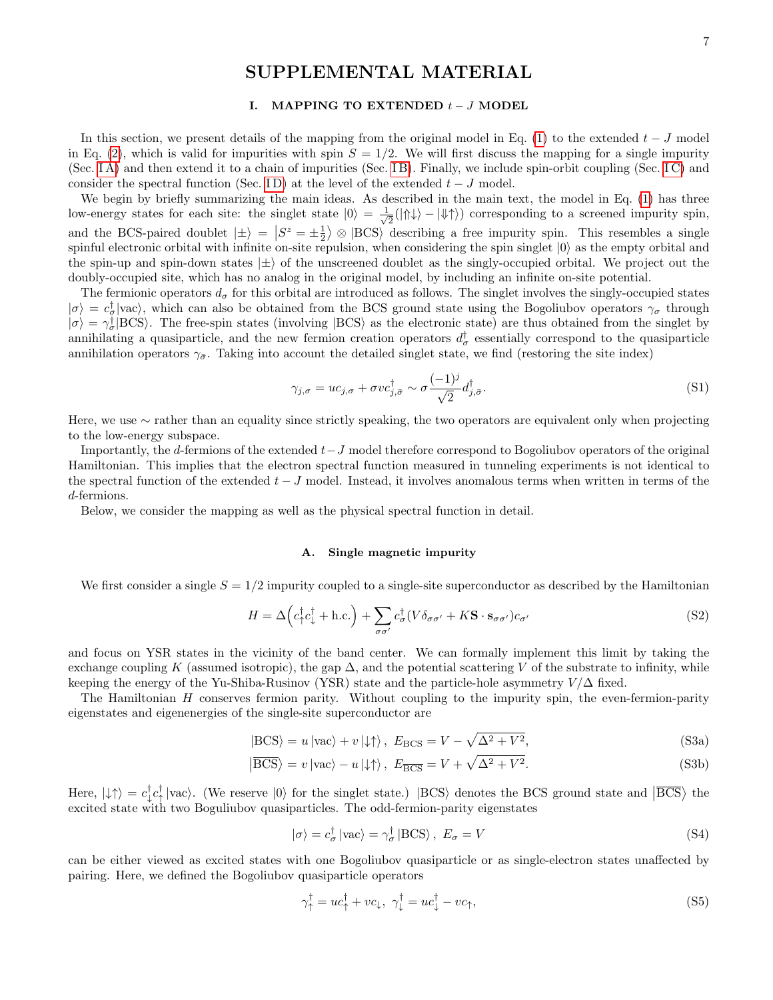# SUPPLEMENTAL MATERIAL

## I. MAPPING TO EXTENDED  $t-J$  MODEL

In this section, we present details of the mapping from the original model in Eq. [\(1\)](#page-0-0) to the extended  $t - J$  model in Eq. [\(2\)](#page-1-0), which is valid for impurities with spin  $S = 1/2$ . We will first discuss the mapping for a single impurity (Sec. [I A\)](#page-6-0) and then extend it to a chain of impurities (Sec. [I B\)](#page-9-0). Finally, we include spin-orbit coupling (Sec. [I C\)](#page-11-0) and consider the spectral function (Sec. ID) at the level of the extended  $t-J$  model.

We begin by briefly summarizing the main ideas. As described in the main text, the model in Eq. [\(1\)](#page-0-0) has three low-energy states for each site: the singlet state  $|0\rangle = \frac{1}{\sqrt{2}}$  $\frac{1}{2}(|\Uparrow\downarrow\rangle - |\Downarrow\uparrow\rangle)$  corresponding to a screened impurity spin, and the BCS-paired doublet  $|\pm\rangle = |S^z = \pm \frac{1}{2}\rangle \otimes |BCS\rangle$  describing a free impurity spin. This resembles a single spinful electronic orbital with infinite on-site repulsion, when considering the spin singlet  $|0\rangle$  as the empty orbital and the spin-up and spin-down states  $|\pm\rangle$  of the unscreened doublet as the singly-occupied orbital. We project out the doubly-occupied site, which has no analog in the original model, by including an infinite on-site potential.

The fermionic operators  $d_{\sigma}$  for this orbital are introduced as follows. The singlet involves the singly-occupied states  $|\sigma\rangle = c_{\sigma}^{\dagger}|\text{vac}\rangle$ , which can also be obtained from the BCS ground state using the Bogoliubov operators  $\gamma_{\sigma}$  through  $|\sigma\rangle = \gamma^{\dagger}_{\sigma}$  BCS). The free-spin states (involving BCS) as the electronic state) are thus obtained from the singlet by annihilating a quasiparticle, and the new fermion creation operators  $d_{\sigma}^{\dagger}$  essentially correspond to the quasiparticle annihilation operators  $\gamma_{\tilde{\sigma}}$ . Taking into account the detailed singlet state, we find (restoring the site index)

<span id="page-6-3"></span>
$$
\gamma_{j,\sigma} = uc_{j,\sigma} + \sigma v c_{j,\bar{\sigma}}^{\dagger} \sim \sigma \frac{(-1)^j}{\sqrt{2}} d_{j,\bar{\sigma}}^{\dagger}.
$$
\n(S1)

Here, we use ∼ rather than an equality since strictly speaking, the two operators are equivalent only when projecting to the low-energy subspace.

Importantly, the d-fermions of the extended  $t-J$  model therefore correspond to Bogoliubov operators of the original Hamiltonian. This implies that the electron spectral function measured in tunneling experiments is not identical to the spectral function of the extended  $t - J$  model. Instead, it involves anomalous terms when written in terms of the d-fermions.

Below, we consider the mapping as well as the physical spectral function in detail.

### <span id="page-6-0"></span>A. Single magnetic impurity

We first consider a single  $S = 1/2$  impurity coupled to a single-site superconductor as described by the Hamiltonian

$$
H = \Delta \left( c_{\uparrow}^{\dagger} c_{\downarrow}^{\dagger} + \text{h.c.} \right) + \sum_{\sigma \sigma'} c_{\sigma}^{\dagger} (V \delta_{\sigma \sigma'} + K \mathbf{S} \cdot \mathbf{s}_{\sigma \sigma'}) c_{\sigma'} \tag{S2}
$$

and focus on YSR states in the vicinity of the band center. We can formally implement this limit by taking the exchange coupling K (assumed isotropic), the gap  $\Delta$ , and the potential scattering V of the substrate to infinity, while keeping the energy of the Yu-Shiba-Rusinov (YSR) state and the particle-hole asymmetry  $V/\Delta$  fixed.

The Hamiltonian  $H$  conserves fermion parity. Without coupling to the impurity spin, the even-fermion-parity eigenstates and eigenenergies of the single-site superconductor are

$$
|BCS\rangle = u|vac\rangle + v|L\rangle, E_{BCS} = V - \sqrt{\Delta^2 + V^2},
$$
 (S3a)

$$
\left| \overline{\text{BCS}} \right\rangle = v \left| \text{vac} \right\rangle - u \left| \downarrow \uparrow \right\rangle, \ E_{\overline{\text{BCS}}} = V + \sqrt{\Delta^2 + V^2}.
$$
 (S3b)

Here,  $|\downarrow\uparrow\rangle = c_{\downarrow}^{\dagger} c_{\uparrow}^{\dagger} |\text{vac}\rangle$ . (We reserve  $|0\rangle$  for the singlet state.)  $|BCS\rangle$  denotes the BCS ground state and  $|\overline{BCS}\rangle$  the excited state with two Boguliubov quasiparticles. The odd-fermion-parity eigenstates

<span id="page-6-2"></span>
$$
|\sigma\rangle = c_{\sigma}^{\dagger} |\text{vac}\rangle = \gamma_{\sigma}^{\dagger} |\text{BCS}\rangle, E_{\sigma} = V
$$
 (S4)

can be either viewed as excited states with one Bogoliubov quasiparticle or as single-electron states unaffected by pairing. Here, we defined the Bogoliubov quasiparticle operators

<span id="page-6-4"></span><span id="page-6-1"></span>
$$
\gamma_{\uparrow}^{\dagger} = uc_{\uparrow}^{\dagger} + vc_{\downarrow}, \ \gamma_{\downarrow}^{\dagger} = uc_{\downarrow}^{\dagger} - vc_{\uparrow}, \tag{S5}
$$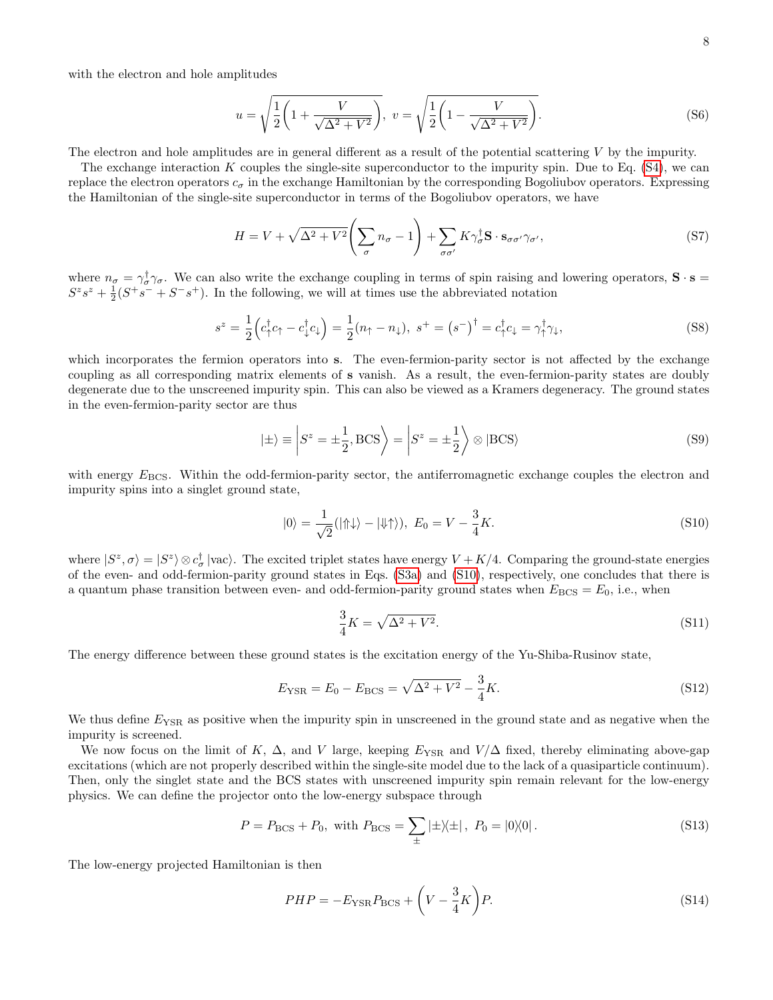with the electron and hole amplitudes

$$
u = \sqrt{\frac{1}{2} \left( 1 + \frac{V}{\sqrt{\Delta^2 + V^2}} \right)}, \ v = \sqrt{\frac{1}{2} \left( 1 - \frac{V}{\sqrt{\Delta^2 + V^2}} \right)}.
$$
 (S6)

The electron and hole amplitudes are in general different as a result of the potential scattering  $V$  by the impurity.

The exchange interaction K couples the single-site superconductor to the impurity spin. Due to Eq.  $(S4)$ , we can replace the electron operators  $c_{\sigma}$  in the exchange Hamiltonian by the corresponding Bogoliubov operators. Expressing the Hamiltonian of the single-site superconductor in terms of the Bogoliubov operators, we have

$$
H = V + \sqrt{\Delta^2 + V^2} \left( \sum_{\sigma} n_{\sigma} - 1 \right) + \sum_{\sigma \sigma'} K \gamma_{\sigma}^{\dagger} \mathbf{S} \cdot \mathbf{s}_{\sigma \sigma'} \gamma_{\sigma'}, \tag{S7}
$$

where  $n_{\sigma} = \gamma_{\sigma}^{\dagger} \gamma_{\sigma}$ . We can also write the exchange coupling in terms of spin raising and lowering operators,  $\mathbf{S} \cdot \mathbf{s} =$  $S^z s^z + \frac{1}{2}(S^+ s^- + S^- s^+)$ . In the following, we will at times use the abbreviated notation

$$
s^z = \frac{1}{2} \left( c_+^\dagger c_+ - c_+^\dagger c_+ \right) = \frac{1}{2} (n_+ - n_+), \ s^+ = \left( s^- \right)^\dagger = c_+^\dagger c_+ = \gamma_+^\dagger \gamma_+, \tag{S8}
$$

which incorporates the fermion operators into s. The even-fermion-parity sector is not affected by the exchange coupling as all corresponding matrix elements of s vanish. As a result, the even-fermion-parity states are doubly degenerate due to the unscreened impurity spin. This can also be viewed as a Kramers degeneracy. The ground states in the even-fermion-parity sector are thus

$$
|\pm\rangle \equiv \left| S^z = \pm \frac{1}{2}, \text{BCS} \right\rangle = \left| S^z = \pm \frac{1}{2} \right\rangle \otimes |\text{BCS}\rangle \tag{S9}
$$

with energy  $E_{\text{BCS}}$ . Within the odd-fermion-parity sector, the antiferromagnetic exchange couples the electron and impurity spins into a singlet ground state,

$$
|0\rangle = \frac{1}{\sqrt{2}} (|\Uparrow\downarrow\rangle - |\Downarrow\uparrow\rangle), \ E_0 = V - \frac{3}{4}K. \tag{S10}
$$

where  $|S^z,\sigma\rangle=|S^z\rangle\otimes c^{\dagger}_{\sigma}$  |vac). The excited triplet states have energy  $V+K/4$ . Comparing the ground-state energies of the even- and odd-fermion-parity ground states in Eqs. [\(S3a\)](#page-6-2) and [\(S10\)](#page-7-0), respectively, one concludes that there is a quantum phase transition between even- and odd-fermion-parity ground states when  $E_{BCS} = E_0$ , i.e., when

<span id="page-7-0"></span>
$$
\frac{3}{4}K = \sqrt{\Delta^2 + V^2}.\tag{S11}
$$

The energy difference between these ground states is the excitation energy of the Yu-Shiba-Rusinov state,

$$
E_{\text{YSR}} = E_0 - E_{\text{BCS}} = \sqrt{\Delta^2 + V^2} - \frac{3}{4}K. \tag{S12}
$$

We thus define  $E_{\text{YSR}}$  as positive when the impurity spin in unscreened in the ground state and as negative when the impurity is screened.

We now focus on the limit of K,  $\Delta$ , and V large, keeping  $E_{\text{YSR}}$  and  $V/\Delta$  fixed, thereby eliminating above-gap excitations (which are not properly described within the single-site model due to the lack of a quasiparticle continuum). Then, only the singlet state and the BCS states with unscreened impurity spin remain relevant for the low-energy physics. We can define the projector onto the low-energy subspace through

<span id="page-7-1"></span>
$$
P = P_{\rm BCS} + P_0, \text{ with } P_{\rm BCS} = \sum_{\pm} |\pm \rangle \langle \pm | , P_0 = |0 \rangle \langle 0 |. \tag{S13}
$$

The low-energy projected Hamiltonian is then

$$
PHP = -E_{\text{YSR}}P_{\text{BCS}} + \left(V - \frac{3}{4}K\right)P.\tag{S14}
$$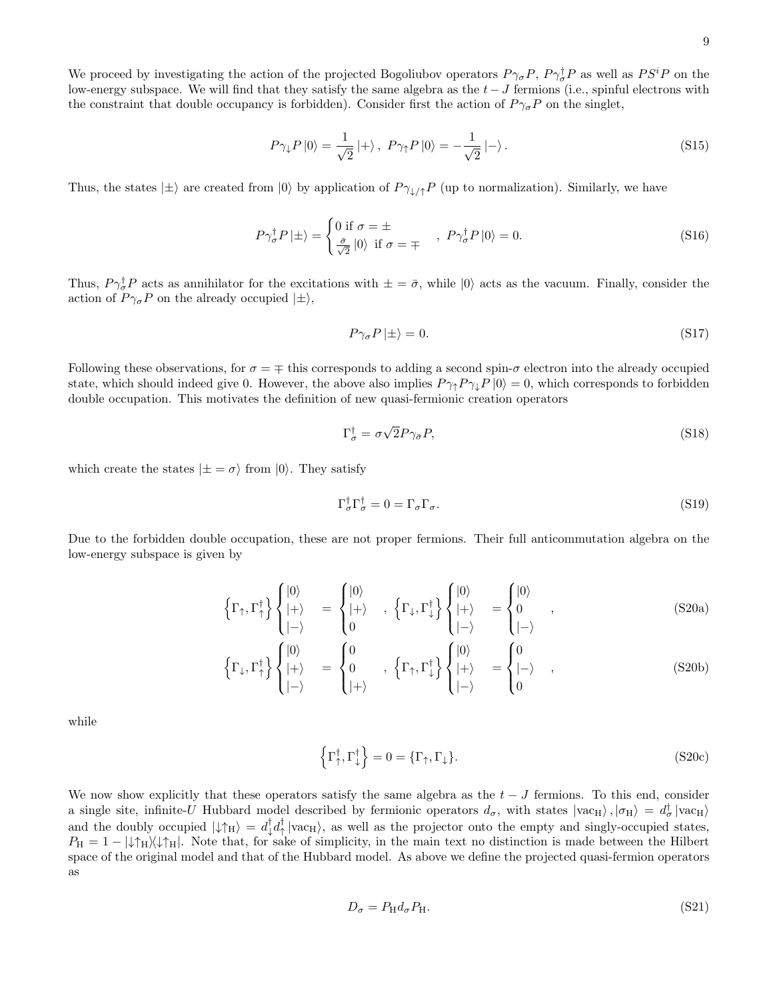We proceed by investigating the action of the projected Bogoliubov operators  $P\gamma_{\sigma}P$ ,  $P\gamma_{\sigma}^{\dagger}P$  as well as  $PS^{i}P$  on the low-energy subspace. We will find that they satisfy the same algebra as the  $t - J$  fermions (i.e., spinful electrons with the constraint that double occupancy is forbidden). Consider first the action of  $P\gamma_{\sigma}P$  on the singlet,

$$
P\gamma_{\downarrow}P\left|0\right\rangle = \frac{1}{\sqrt{2}}\left|+\right\rangle, \ P\gamma_{\uparrow}P\left|0\right\rangle = -\frac{1}{\sqrt{2}}\left|-\right\rangle. \tag{S15}
$$

Thus, the states  $|\pm\rangle$  are created from  $|0\rangle$  by application of  $P\gamma_{\downarrow}/\gamma P$  (up to normalization). Similarly, we have

$$
P\gamma_{\sigma}^{\dagger}P\left|\pm\right\rangle = \begin{cases} 0 \text{ if } \sigma = \pm\\ \frac{\bar{\sigma}}{\sqrt{2}}\left|0\right\rangle \text{ if } \sigma = \mp \end{cases}, \ P\gamma_{\sigma}^{\dagger}P\left|0\right\rangle = 0. \tag{S16}
$$

Thus,  $P\gamma_{\sigma}^{\dagger}P$  acts as annihilator for the excitations with  $\pm = \bar{\sigma}$ , while  $|0\rangle$  acts as the vacuum. Finally, consider the action of  $P\gamma_{\sigma}P$  on the already occupied  $|\pm\rangle$ ,

$$
P\gamma_{\sigma}P\left|\pm\right\rangle = 0.\tag{S17}
$$

Following these observations, for  $\sigma = \mp$  this corresponds to adding a second spin- $\sigma$  electron into the already occupied state, which should indeed give 0. However, the above also implies  $P\gamma_1 P\gamma_1 P |0\rangle = 0$ , which corresponds to forbidden double occupation. This motivates the definition of new quasi-fermionic creation operators

$$
\Gamma_{\sigma}^{\dagger} = \sigma \sqrt{2} P \gamma_{\bar{\sigma}} P,\tag{S18}
$$

which create the states  $|\pm = \sigma\rangle$  from  $|0\rangle$ . They satisfy

$$
\Gamma_{\sigma}^{\dagger} \Gamma_{\sigma}^{\dagger} = 0 = \Gamma_{\sigma} \Gamma_{\sigma}.
$$
\n<sup>(S19)</sup>

Due to the forbidden double occupation, these are not proper fermions. Their full anticommutation algebra on the low-energy subspace is given by

$$
\left\{\Gamma_{\uparrow},\Gamma_{\uparrow}^{\dagger}\right\} \begin{cases} |0\rangle \\ |+\rangle \\ |-\rangle \end{cases} = \begin{cases} |0\rangle \\ |+\rangle \\ 0 \end{cases}, \left\{\Gamma_{\downarrow},\Gamma_{\downarrow}^{\dagger}\right\} \begin{cases} |0\rangle \\ |+\rangle \\ |-\rangle \end{cases} = \begin{cases} |0\rangle \\ 0 \\ |-\rangle \end{cases}, \tag{S20a}
$$

$$
\left\{\Gamma_{\downarrow},\Gamma_{\uparrow}^{\dagger}\right\} \begin{cases} |0\rangle \\ |+\rangle \\ |-\rangle \end{cases} = \begin{cases} 0 \\ 0 \\ |+\rangle \\ |+\rangle \end{cases}, \left\{\Gamma_{\uparrow},\Gamma_{\downarrow}^{\dagger}\right\} \begin{cases} |0\rangle \\ |+\rangle \\ |-\rangle \end{cases} = \begin{cases} 0 \\ |-\rangle \\ 0 \end{cases}, \tag{S20b}
$$

while

$$
\left\{\Gamma_{\uparrow}^{\dagger},\Gamma_{\downarrow}^{\dagger}\right\}=0=\{\Gamma_{\uparrow},\Gamma_{\downarrow}\}.
$$
\n(S20c)

We now show explicitly that these operators satisfy the same algebra as the  $t - J$  fermions. To this end, consider a single site, infinite-U Hubbard model described by fermionic operators  $d_{\sigma}$ , with states  $|vac_{H}\rangle$ ,  $|\sigma_{H}\rangle = d_{\sigma}^{\dagger}|vac_{H}\rangle$ and the doubly occupied  $|\downarrow\uparrow_H\rangle = d^{\dagger}_{\downarrow} d^{\dagger}_{\uparrow} |\text{vac}_H\rangle$ , as well as the projector onto the empty and singly-occupied states,  $P_{\rm H} = 1 - |\downarrow \uparrow_{\rm H} \rangle \langle \downarrow \uparrow_{\rm H}|$ . Note that, for sake of simplicity, in the main text no distinction is made between the Hilbert space of the original model and that of the Hubbard model. As above we define the projected quasi-fermion operators as

$$
D_{\sigma} = P_{\rm H} d_{\sigma} P_{\rm H}.
$$
\n<sup>(S21)</sup>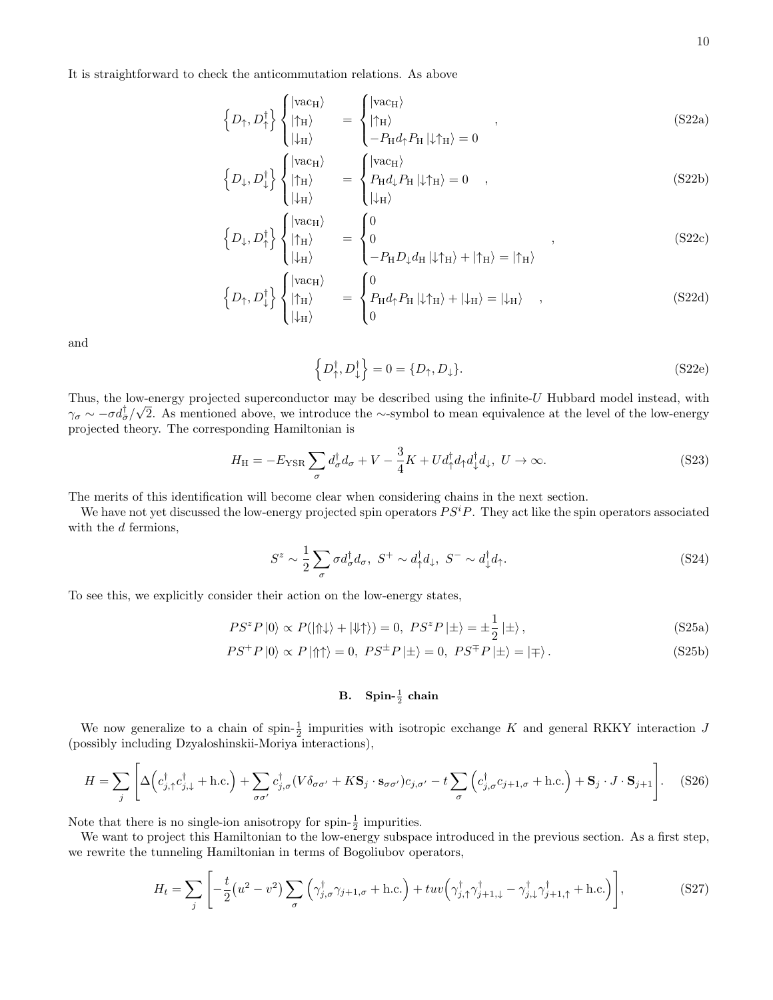It is straightforward to check the anticommutation relations. As above

$$
\left\{ D_{\uparrow}, D_{\uparrow}^{\dagger} \right\} \begin{cases} |\text{vac}_{H}\rangle \\ |\uparrow_{H}\rangle \\ |\downarrow_{H}\rangle \end{cases} = \begin{cases} |\text{vac}_{H}\rangle \\ |\uparrow_{H}\rangle \\ -P_{H}d_{\uparrow}P_{H} |\downarrow \uparrow_{H}\rangle = 0 \end{cases}, \qquad (S22a)
$$

$$
\left\{ D_{\downarrow}, D_{\downarrow}^{\dagger} \right\} \begin{cases} |\text{vac}_{H}\rangle \\ |\uparrow_{H}\rangle \\ |\downarrow_{H}\rangle \end{cases} = \begin{cases} |\text{vac}_{H}\rangle \\ P_{H}d_{\downarrow}P_{H} |\downarrow \uparrow_{H}\rangle = 0 \\ |\downarrow_{H}\rangle \end{cases}, \tag{S22b}
$$

$$
\left\{ D_{\downarrow}, D_{\uparrow}^{\dagger} \right\} \begin{cases} |\text{vac}_{H}\rangle \\ |\uparrow_{H}\rangle \\ |\downarrow_{H}\rangle \end{cases} = \begin{cases} 0 \\ 0 \\ -P_{H}D_{\downarrow}d_{H}|\downarrow\uparrow_{H}\rangle + |\uparrow_{H}\rangle = |\uparrow_{H}\rangle \end{cases}, \tag{S22c}
$$

$$
\left\{ D_{\uparrow}, D_{\downarrow}^{\dagger} \right\} \begin{cases} |\text{vac}_{H}\rangle \\ |\uparrow_{H}\rangle \\ |\downarrow_{H}\rangle \end{cases} = \left\{ \begin{aligned} & 0 \\ & P_{\text{H}}d_{\uparrow}P_{\text{H}} \left| \downarrow \uparrow_{H}\right\rangle + \left| \downarrow_{H}\right\rangle = |\downarrow_{H}\rangle \\ & 0 \end{aligned} \right.\tag{S22d}
$$

and

$$
\left\{D_{\uparrow}^{\dagger}, D_{\downarrow}^{\dagger}\right\} = 0 = \{D_{\uparrow}, D_{\downarrow}\}.
$$
\n(S22e)

Thus, the low-energy projected superconductor may be described using the infinite- $U$  Hubbard model instead, with  $\gamma_{\sigma} \sim -\sigma d_{\bar{\sigma}}^{\dagger}/\sqrt{2}$ . As mentioned above, we introduce the ∼-symbol to mean equivalence at the level of the low-energy projected theory. The corresponding Hamiltonian is

$$
H_{\rm H} = -E_{\rm YSR} \sum_{\sigma} d_{\sigma}^{\dagger} d_{\sigma} + V - \frac{3}{4} K + U d_{\uparrow}^{\dagger} d_{\uparrow} d_{\downarrow}^{\dagger} d_{\downarrow}, \ U \to \infty.
$$
 (S23)

The merits of this identification will become clear when considering chains in the next section.

We have not yet discussed the low-energy projected spin operators  $PS<sup>i</sup>P$ . They act like the spin operators associated with the d fermions,

$$
S^z \sim \frac{1}{2} \sum_{\sigma} \sigma d_{\sigma}^{\dagger} d_{\sigma}, \ S^+ \sim d_{\uparrow}^{\dagger} d_{\downarrow}, \ S^- \sim d_{\downarrow}^{\dagger} d_{\uparrow}. \tag{S24}
$$

To see this, we explicitly consider their action on the low-energy states,

$$
PS^z P |0\rangle \propto P(|\Uparrow\downarrow\rangle + |\Downarrow\uparrow\rangle) = 0, \ PS^z P |\pm\rangle = \pm \frac{1}{2} |\pm\rangle, \tag{S25a}
$$

$$
PS^{+}P|0\rangle \propto P|\Uparrow\uparrow\rangle = 0, \ PS^{\pm}P|\pm\rangle = 0, \ PS^{\mp}P|\pm\rangle = |\mp\rangle. \tag{S25b}
$$

# <span id="page-9-0"></span>B. Spin- $\frac{1}{2}$  chain

We now generalize to a chain of spin- $\frac{1}{2}$  impurities with isotropic exchange K and general RKKY interaction J (possibly including Dzyaloshinskii-Moriya interactions),

$$
H = \sum_{j} \left[ \Delta \left( c_{j,\uparrow}^{\dagger} c_{j,\downarrow}^{\dagger} + \text{h.c.} \right) + \sum_{\sigma\sigma'} c_{j,\sigma}^{\dagger} (V\delta_{\sigma\sigma'} + K\mathbf{S}_{j} \cdot \mathbf{s}_{\sigma\sigma'}) c_{j,\sigma'} - t \sum_{\sigma} \left( c_{j,\sigma}^{\dagger} c_{j+1,\sigma} + \text{h.c.} \right) + \mathbf{S}_{j} \cdot J \cdot \mathbf{S}_{j+1} \right]. \tag{S26}
$$

Note that there is no single-ion anisotropy for spin- $\frac{1}{2}$  impurities.

We want to project this Hamiltonian to the low-energy subspace introduced in the previous section. As a first step, we rewrite the tunneling Hamiltonian in terms of Bogoliubov operators,

$$
H_t = \sum_j \left[ -\frac{t}{2} \left( u^2 - v^2 \right) \sum_{\sigma} \left( \gamma_{j,\sigma}^{\dagger} \gamma_{j+1,\sigma} + \text{h.c.} \right) + tuv \left( \gamma_{j,\uparrow}^{\dagger} \gamma_{j+1,\downarrow}^{\dagger} - \gamma_{j,\downarrow}^{\dagger} \gamma_{j+1,\uparrow}^{\dagger} + \text{h.c.} \right) \right],\tag{S27}
$$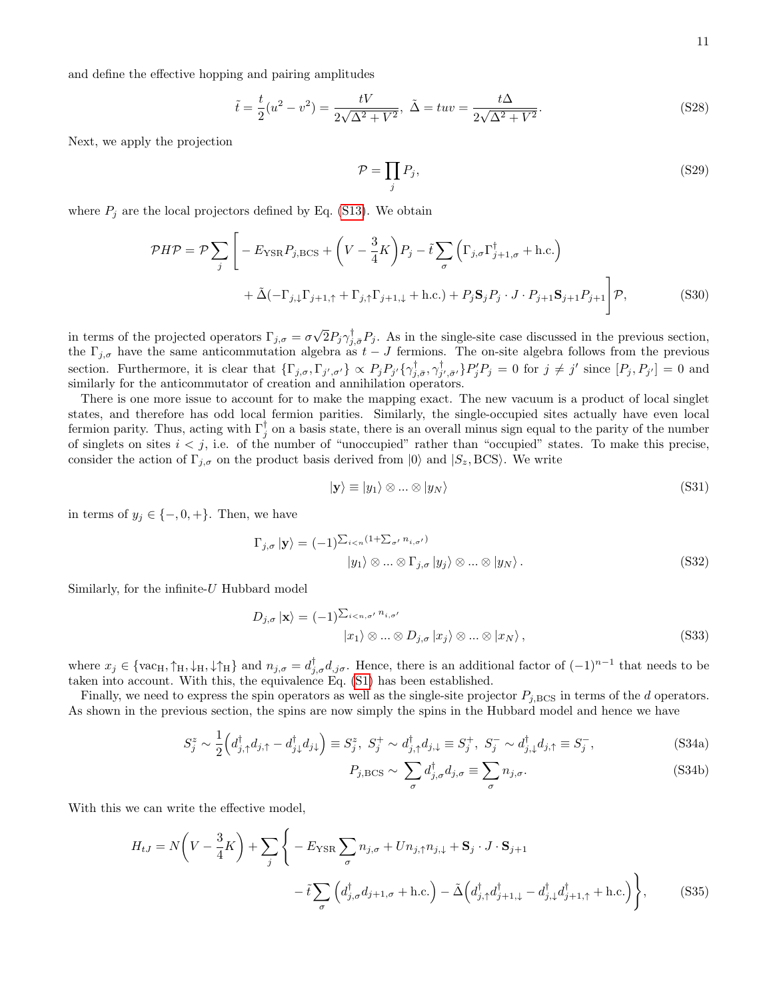and define the effective hopping and pairing amplitudes

$$
\tilde{t} = \frac{t}{2}(u^2 - v^2) = \frac{tV}{2\sqrt{\Delta^2 + V^2}}, \ \tilde{\Delta} = tuv = \frac{t\Delta}{2\sqrt{\Delta^2 + V^2}}.
$$
\n(S28)

Next, we apply the projection

$$
\mathcal{P} = \prod_{j} P_j,\tag{S29}
$$

where  $P_j$  are the local projectors defined by Eq. [\(S13\)](#page-7-1). We obtain

$$
\mathcal{P}H\mathcal{P} = \mathcal{P}\sum_{j} \left[ -E_{\text{YSR}}P_{j,\text{BCS}} + \left(V - \frac{3}{4}K\right)P_{j} - \tilde{t}\sum_{\sigma} \left(\Gamma_{j,\sigma}\Gamma_{j+1,\sigma}^{\dagger} + \text{h.c.}\right) \right. \\
\left. + \tilde{\Delta}(-\Gamma_{j,\downarrow}\Gamma_{j+1,\uparrow} + \Gamma_{j,\uparrow}\Gamma_{j+1,\downarrow} + \text{h.c.}) + P_{j}\mathbf{S}_{j}P_{j} \cdot J \cdot P_{j+1}\mathbf{S}_{j+1}P_{j+1} \right] \mathcal{P},\tag{S30}
$$

in terms of the projected operators  $\Gamma_{j,\sigma} = \sigma$ √  $\bar{2}P_j\gamma_{j,\bar{\sigma}}^{\dagger}P_j$ . As in the single-site case discussed in the previous section, the  $\Gamma_{j,\sigma}$  have the same anticommutation algebra as  $t-J$  fermions. The on-site algebra follows from the previous section. Furthermore, it is clear that  $\{\Gamma_{j,\sigma},\Gamma_{j',\sigma'}\}\propto P_jP_{j'}\{\gamma_{j,\bar{\sigma}}^{\dagger},\gamma_{j',\bar{\sigma}'}^{\dagger}\}P_j'P_j=0$  for  $j\neq j'$  since  $[P_j,P_{j'}]=0$  and similarly for the anticommutator of creation and annihilation operators.

There is one more issue to account for to make the mapping exact. The new vacuum is a product of local singlet states, and therefore has odd local fermion parities. Similarly, the single-occupied sites actually have even local fermion parity. Thus, acting with  $\Gamma_j^{\dagger}$  on a basis state, there is an overall minus sign equal to the parity of the number of singlets on sites  $i < j$ , i.e. of the number of "unoccupied" rather than "occupied" states. To make this precise, consider the action of  $\Gamma_{i,\sigma}$  on the product basis derived from  $|0\rangle$  and  $|S_z, BCS\rangle$ . We write

$$
|\mathbf{y}\rangle \equiv |y_1\rangle \otimes \dots \otimes |y_N\rangle \tag{S31}
$$

in terms of  $y_j \in \{-,0,+\}.$  Then, we have

$$
\Gamma_{j,\sigma} | \mathbf{y} \rangle = (-1)^{\sum_{i < n} (1 + \sum_{\sigma'} n_{i,\sigma'})} |y_1 \rangle \otimes \dots \otimes \Gamma_{j,\sigma} | y_j \rangle \otimes \dots \otimes | y_N \rangle. \tag{S32}
$$

Similarly, for the infinite- $U$  Hubbard model

$$
D_{j,\sigma} |\mathbf{x}\rangle = (-1)^{\sum_{i \le n,\sigma'} n_{i,\sigma'}}
$$
  

$$
|x_1\rangle \otimes \dots \otimes D_{j,\sigma} |x_j\rangle \otimes \dots \otimes |x_N\rangle ,
$$
 (S33)

where  $x_j \in \{\text{vac}_H, \uparrow_H, \downarrow_H, \downarrow \uparrow_H\}$  and  $n_{j,\sigma} = d_{j,\sigma}^{\dagger} d_{j,\sigma}$ . Hence, there is an additional factor of  $(-1)^{n-1}$  that needs to be taken into account. With this, the equivalence Eq. [\(S1\)](#page-6-3) has been established.

Finally, we need to express the spin operators as well as the single-site projector  $P_{j,BCS}$  in terms of the d operators. As shown in the previous section, the spins are now simply the spins in the Hubbard model and hence we have

$$
S_j^z \sim \frac{1}{2} \left( d_{j,\uparrow}^\dagger d_{j,\uparrow} - d_{j\downarrow}^\dagger d_{j\downarrow} \right) \equiv S_j^z, \ S_j^+ \sim d_{j,\uparrow}^\dagger d_{j,\downarrow} \equiv S_j^+, \ S_j^- \sim d_{j,\downarrow}^\dagger d_{j,\uparrow} \equiv S_j^-, \tag{S34a}
$$

$$
P_{j,\text{BCS}} \sim \sum_{\sigma} d_{j,\sigma}^{\dagger} d_{j,\sigma} \equiv \sum_{\sigma} n_{j,\sigma}.
$$
 (S34b)

With this we can write the effective model,

$$
H_{tJ} = N\left(V - \frac{3}{4}K\right) + \sum_{j} \left\{-E_{\text{YSR}} \sum_{\sigma} n_{j,\sigma} + Un_{j,\uparrow}n_{j,\downarrow} + \mathbf{S}_{j} \cdot J \cdot \mathbf{S}_{j+1} - \tilde{t} \sum_{\sigma} \left(d_{j,\sigma}^{\dagger} d_{j+1,\sigma} + \text{h.c.}\right) - \tilde{\Delta}\left(d_{j,\uparrow}^{\dagger} d_{j+1,\downarrow}^{\dagger} - d_{j,\downarrow}^{\dagger} d_{j+1,\uparrow}^{\dagger} + \text{h.c.}\right)\right\},
$$
(S35)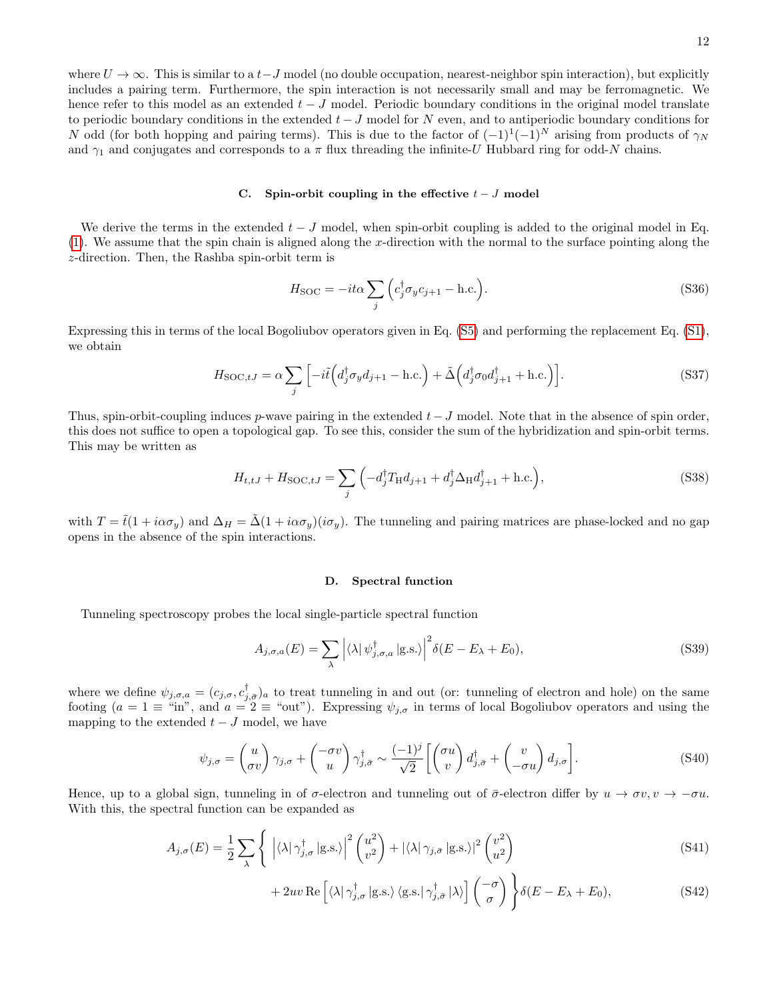<span id="page-11-2"></span>12

where  $U \to \infty$ . This is similar to a  $t-J$  model (no double occupation, nearest-neighbor spin interaction), but explicitly includes a pairing term. Furthermore, the spin interaction is not necessarily small and may be ferromagnetic. We hence refer to this model as an extended  $t - J$  model. Periodic boundary conditions in the original model translate to periodic boundary conditions in the extended  $t-J$  model for N even, and to antiperiodic boundary conditions for N odd (for both hopping and pairing terms). This is due to the factor of  $(-1)^{1}(-1)^{N}$  arising from products of  $\gamma_{N}$ and  $\gamma_1$  and conjugates and corresponds to a  $\pi$  flux threading the infinite-U Hubbard ring for odd-N chains.

# <span id="page-11-0"></span>C. Spin-orbit coupling in the effective  $t - J$  model

We derive the terms in the extended  $t - J$  model, when spin-orbit coupling is added to the original model in Eq.  $(1)$ . We assume that the spin chain is aligned along the x-direction with the normal to the surface pointing along the z-direction. Then, the Rashba spin-orbit term is

$$
H_{\text{SOC}} = -it\alpha \sum_{j} \left( c_j^{\dagger} \sigma_y c_{j+1} - \text{h.c.} \right). \tag{S36}
$$

Expressing this in terms of the local Bogoliubov operators given in Eq. [\(S5\)](#page-6-4) and performing the replacement Eq. [\(S1\)](#page-6-3), we obtain

$$
H_{\text{SOC},tJ} = \alpha \sum_{j} \left[ -i\tilde{t} \left( d_j^{\dagger} \sigma_y d_{j+1} - \text{h.c.} \right) + \tilde{\Delta} \left( d_j^{\dagger} \sigma_0 d_{j+1}^{\dagger} + \text{h.c.} \right) \right]. \tag{S37}
$$

Thus, spin-orbit-coupling induces p-wave pairing in the extended  $t-J$  model. Note that in the absence of spin order, this does not suffice to open a topological gap. To see this, consider the sum of the hybridization and spin-orbit terms. This may be written as

$$
H_{t,tJ} + H_{\text{SOC},tJ} = \sum_{j} \left( -d_j^{\dagger} T_{\text{H}} d_{j+1} + d_j^{\dagger} \Delta_{\text{H}} d_{j+1}^{\dagger} + \text{h.c.} \right), \tag{S38}
$$

with  $T = \tilde{t}(1 + i\alpha\sigma_{\eta})$  and  $\Delta_H = \tilde{\Delta}(1 + i\alpha\sigma_{\eta})(i\sigma_{\eta})$ . The tunneling and pairing matrices are phase-locked and no gap opens in the absence of the spin interactions.

## <span id="page-11-1"></span>D. Spectral function

Tunneling spectroscopy probes the local single-particle spectral function

$$
A_{j,\sigma,a}(E) = \sum_{\lambda} \left| \langle \lambda | \psi_{j,\sigma,a}^{\dagger} | \text{g.s.} \rangle \right|^2 \delta(E - E_{\lambda} + E_0), \tag{S39}
$$

where we define  $\psi_{j,\sigma,a} = (c_{j,\sigma}, c_{j,\bar{\sigma}}^{\dagger})_a$  to treat tunneling in and out (or: tunneling of electron and hole) on the same footing  $(a = 1 \equiv \text{``in''}, \text{ and } a = 2 \equiv \text{``out''}).$  Expressing  $\psi_{j,\sigma}$  in terms of local Bogoliubov operators and using the mapping to the extended  $t - J$  model, we have

$$
\psi_{j,\sigma} = \begin{pmatrix} u \\ \sigma v \end{pmatrix} \gamma_{j,\sigma} + \begin{pmatrix} -\sigma v \\ u \end{pmatrix} \gamma_{j,\bar{\sigma}}^{\dagger} \sim \frac{(-1)^j}{\sqrt{2}} \left[ \begin{pmatrix} \sigma u \\ v \end{pmatrix} d_{j,\bar{\sigma}}^{\dagger} + \begin{pmatrix} v \\ -\sigma u \end{pmatrix} d_{j,\sigma} \right].
$$
 (S40)

Hence, up to a global sign, tunneling in of  $\sigma$ -electron and tunneling out of  $\bar{\sigma}$ -electron differ by  $u \to \sigma v, v \to -\sigma u$ . With this, the spectral function can be expanded as

$$
A_{j,\sigma}(E) = \frac{1}{2} \sum_{\lambda} \left\{ \left| \langle \lambda | \gamma_{j,\sigma}^{\dagger} | \text{g.s.} \rangle \right|^2 \binom{u^2}{v^2} + \left| \langle \lambda | \gamma_{j,\bar{\sigma}} | \text{g.s.} \rangle \right|^2 \binom{v^2}{u^2} \right\} \tag{S41}
$$

+ 2uv Re 
$$
\left[ \langle \lambda | \gamma_{j,\sigma}^{\dagger} | g.s. \rangle \langle g.s. | \gamma_{j,\bar{\sigma}}^{\dagger} | \lambda \rangle \right] \begin{pmatrix} -\sigma \\ \sigma \end{pmatrix} \right\} \delta(E - E_{\lambda} + E_{0}),
$$
 (S42)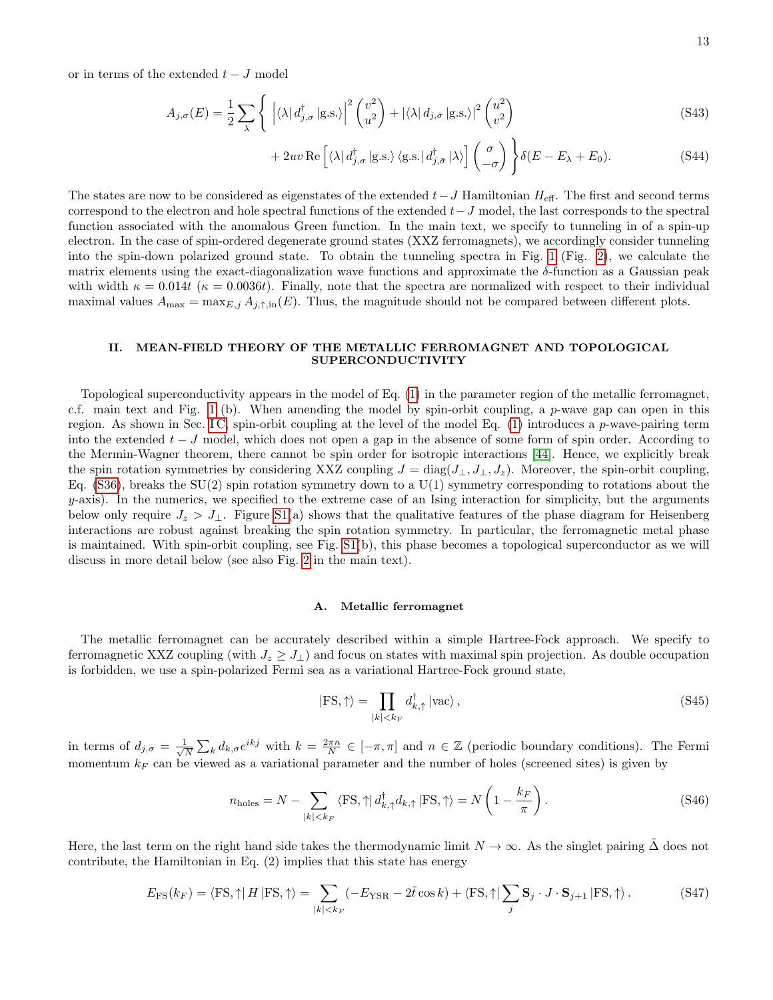or in terms of the extended  $t-J$  model

$$
A_{j,\sigma}(E) = \frac{1}{2} \sum_{\lambda} \left\{ \left| \langle \lambda | d_{j,\sigma}^{\dagger} | \text{g.s.} \rangle \right|^2 \binom{v^2}{u^2} + |\langle \lambda | d_{j,\bar{\sigma}} | \text{g.s.} \rangle|^2 \binom{u^2}{v^2} \right\} \tag{S43}
$$

+ 2uv Re 
$$
\left[ \langle \lambda | d_{j,\sigma}^{\dagger} | \text{g.s.} \rangle \langle \text{g.s.} | d_{j,\bar{\sigma}}^{\dagger} | \lambda \rangle \right] \begin{pmatrix} \sigma \\ -\sigma \end{pmatrix} \right\} \delta(E - E_{\lambda} + E_{0}).
$$
 (S44)

The states are now to be considered as eigenstates of the extended  $t-J$  Hamiltonian  $H_{\text{eff}}$ . The first and second terms correspond to the electron and hole spectral functions of the extended  $t-J$  model, the last corresponds to the spectral function associated with the anomalous Green function. In the main text, we specify to tunneling in of a spin-up electron. In the case of spin-ordered degenerate ground states (XXZ ferromagnets), we accordingly consider tunneling into the spin-down polarized ground state. To obtain the tunneling spectra in Fig. [1](#page-2-0) (Fig. [2\)](#page-3-0), we calculate the matrix elements using the exact-diagonalization wave functions and approximate the  $\delta$ -function as a Gaussian peak with width  $\kappa = 0.014t$  ( $\kappa = 0.0036t$ ). Finally, note that the spectra are normalized with respect to their individual maximal values  $A_{\text{max}} = \max_{E,j} A_{j,\uparrow,\text{in}}(E)$ . Thus, the magnitude should not be compared between different plots.

### II. MEAN-FIELD THEORY OF THE METALLIC FERROMAGNET AND TOPOLOGICAL SUPERCONDUCTIVITY

Topological superconductivity appears in the model of Eq. [\(1\)](#page-0-0) in the parameter region of the metallic ferromagnet, c.f. main text and Fig. [1](#page-2-0) (b). When amending the model by spin-orbit coupling, a p-wave gap can open in this region. As shown in Sec. IC, spin-orbit coupling at the level of the model Eq.  $(1)$  introduces a p-wave-pairing term into the extended  $t - J$  model, which does not open a gap in the absence of some form of spin order. According to the Mermin-Wagner theorem, there cannot be spin order for isotropic interactions [\[44\]](#page-4-28). Hence, we explicitly break the spin rotation symmetries by considering XXZ coupling  $J = diag(J_{\perp}, J_{\perp}, J_z)$ . Moreover, the spin-orbit coupling, Eq.  $(S36)$ , breaks the SU(2) spin rotation symmetry down to a U(1) symmetry corresponding to rotations about the  $y$ -axis). In the numerics, we specified to the extreme case of an Ising interaction for simplicity, but the arguments below only require  $J_z > J_{\perp}$ . Figure [S1\(](#page-2-0)a) shows that the qualitative features of the phase diagram for Heisenberg interactions are robust against breaking the spin rotation symmetry. In particular, the ferromagnetic metal phase is maintained. With spin-orbit coupling, see Fig. [S1\(](#page-2-0)b), this phase becomes a topological superconductor as we will discuss in more detail below (see also Fig. [2](#page-3-0) in the main text).

### A. Metallic ferromagnet

The metallic ferromagnet can be accurately described within a simple Hartree-Fock approach. We specify to ferromagnetic XXZ coupling (with  $J_z \geq J_{\perp}$ ) and focus on states with maximal spin projection. As double occupation is forbidden, we use a spin-polarized Fermi sea as a variational Hartree-Fock ground state,

<span id="page-12-0"></span>
$$
|\text{FS}, \uparrow\rangle = \prod_{|k| < k_F} d_{k,\uparrow}^\dagger \, |\text{vac}\rangle \,,\tag{S45}
$$

in terms of  $d_{j,\sigma} = \frac{1}{\sqrt{j}}$  $\frac{1}{N}\sum_{k}d_{k,\sigma}e^{ikj}$  with  $k=\frac{2\pi n}{N}\in[-\pi,\pi]$  and  $n\in\mathbb{Z}$  (periodic boundary conditions). The Fermi momentum  $k_F$  can be viewed as a variational parameter and the number of holes (screened sites) is given by

$$
n_{\text{holes}} = N - \sum_{|k| < k_F} \langle \text{FS}, \uparrow | d_{k,\uparrow}^{\dagger} d_{k,\uparrow} | \text{FS}, \uparrow \rangle = N \left( 1 - \frac{k_F}{\pi} \right). \tag{S46}
$$

Here, the last term on the right hand side takes the thermodynamic limit  $N \to \infty$ . As the singlet pairing  $\Delta$  does not contribute, the Hamiltonian in Eq. (2) implies that this state has energy

$$
E_{\rm FS}(k_F) = \langle \text{FS}, \uparrow \rangle H \, |\text{FS}, \uparrow \rangle = \sum_{|k| < k_F} (-E_{\rm YSR} - 2\tilde{t}\cos k) + \langle \text{FS}, \uparrow \rangle \sum_j \mathbf{S}_j \cdot J \cdot \mathbf{S}_{j+1} \, |\text{FS}, \uparrow \rangle \,. \tag{S47}
$$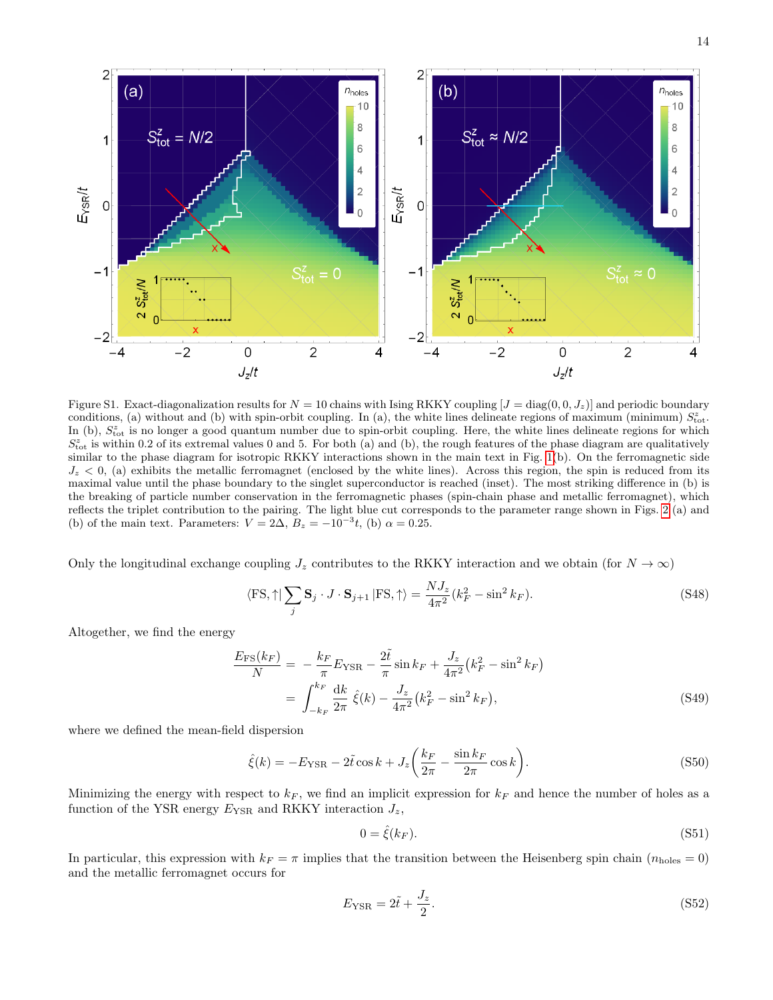

Figure S1. Exact-diagonalization results for  $N = 10$  chains with Ising RKKY coupling  $[J = diag(0, 0, J_z)]$  and periodic boundary conditions, (a) without and (b) with spin-orbit coupling. In (a), the white lines delineate regions of maximum (minimum)  $S_{\text{tot}}^z$ . In (b),  $S_{\text{tot}}^z$  is no longer a good quantum number due to spin-orbit coupling. Here, the white lines delineate regions for which  $S_{\text{tot}}^z$  is within 0.2 of its extremal values 0 and 5. For both (a) and (b), the rough features of the phase diagram are qualitatively similar to the phase diagram for isotropic RKKY interactions shown in the main text in Fig. [1\(](#page-2-0)b). On the ferromagnetic side  $J_z < 0$ , (a) exhibits the metallic ferromagnet (enclosed by the white lines). Across this region, the spin is reduced from its maximal value until the phase boundary to the singlet superconductor is reached (inset). The most striking difference in (b) is the breaking of particle number conservation in the ferromagnetic phases (spin-chain phase and metallic ferromagnet), which reflects the triplet contribution to the pairing. The light blue cut corresponds to the parameter range shown in Figs. [2](#page-3-0) (a) and (b) of the main text. Parameters:  $V = 2\Delta$ ,  $B_z = -10^{-3}t$ , (b)  $\alpha = 0.25$ .

Only the longitudinal exchange coupling  $J_z$  contributes to the RKKY interaction and we obtain (for  $N \to \infty$ )

$$
\langle \text{FS}, \uparrow \mid \sum_{j} \mathbf{S}_{j} \cdot J \cdot \mathbf{S}_{j+1} \mid \text{FS}, \uparrow \rangle = \frac{NJ_{z}}{4\pi^{2}} (k_{F}^{2} - \sin^{2} k_{F}). \tag{S48}
$$

Altogether, we find the energy

$$
\frac{E_{\rm FS}(k_F)}{N} = -\frac{k_F}{\pi} E_{\rm YSR} - 2\tilde{t} \sin k_F + \frac{J_z}{4\pi^2} (k_F^2 - \sin^2 k_F) \n= \int_{-k_F}^{k_F} \frac{dk}{2\pi} \hat{\xi}(k) - \frac{J_z}{4\pi^2} (k_F^2 - \sin^2 k_F),
$$
\n(S49)

where we defined the mean-field dispersion

$$
\hat{\xi}(k) = -E_{\text{YSR}} - 2\tilde{t}\cos k + J_z \left(\frac{k_F}{2\pi} - \frac{\sin k_F}{2\pi}\cos k\right).
$$
\n(S50)

Minimizing the energy with respect to  $k_F$ , we find an implicit expression for  $k_F$  and hence the number of holes as a function of the YSR energy  $E_{\text{YSR}}$  and RKKY interaction  $J_z$ ,

<span id="page-13-0"></span>
$$
0 = \hat{\xi}(k_F). \tag{S51}
$$

In particular, this expression with  $k_F = \pi$  implies that the transition between the Heisenberg spin chain ( $n_{\text{holes}} = 0$ ) and the metallic ferromagnet occurs for

$$
E_{\text{YSR}} = 2\tilde{t} + \frac{J_z}{2}.\tag{S52}
$$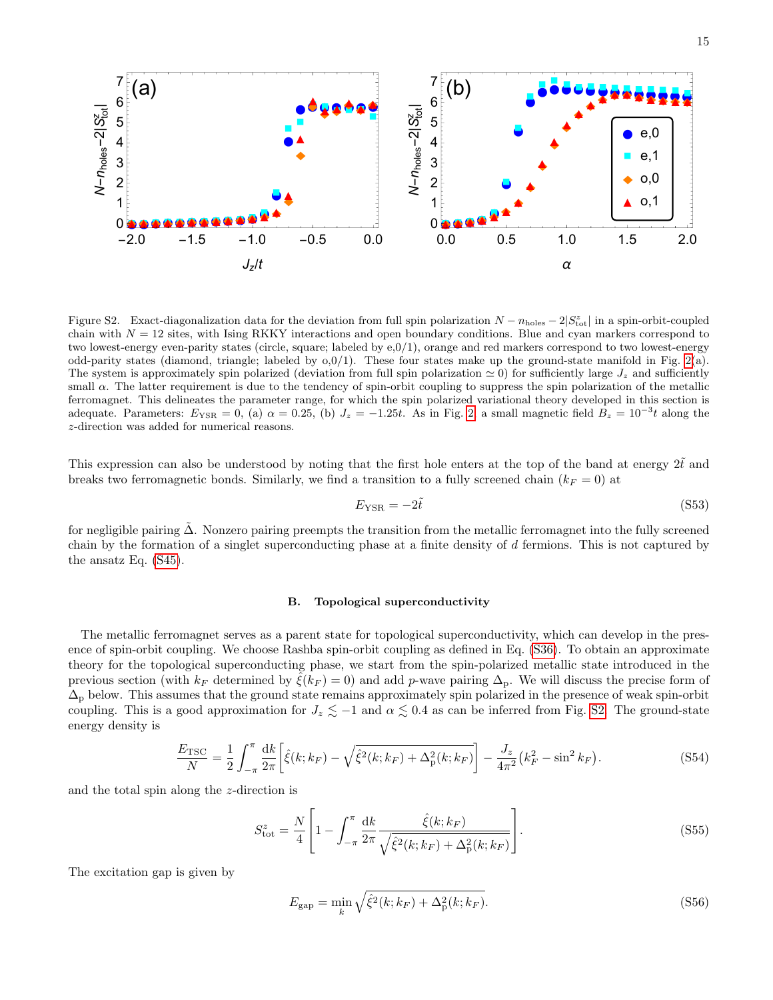

Figure S2. Exact-diagonalization data for the deviation from full spin polarization  $N - n_{\text{holes}} - 2|S_{\text{tot}}^z|$  in a spin-orbit-coupled chain with  $N = 12$  sites, with Ising RKKY interactions and open boundary conditions. Blue and cyan markers correspond to two lowest-energy even-parity states (circle, square; labeled by e,0/1), orange and red markers correspond to two lowest-energy odd-parity states (diamond, triangle; labeled by  $0.0/1$ ). These four states make up the ground-state manifold in Fig. [2\(](#page-3-0)a). The system is approximately spin polarized (deviation from full spin polarization  $\simeq 0$ ) for sufficiently large  $J_z$  and sufficiently small  $\alpha$ . The latter requirement is due to the tendency of spin-orbit coupling to suppress the spin polarization of the metallic ferromagnet. This delineates the parameter range, for which the spin polarized variational theory developed in this section is adequate. Parameters:  $E_{\text{YSR}} = 0$ , (a)  $\alpha = 0.25$ , (b)  $J_z = -1.25t$ . As in Fig. [2,](#page-3-0) a small magnetic field  $B_z = 10^{-3}t$  along the z-direction was added for numerical reasons.

This expression can also be understood by noting that the first hole enters at the top of the band at energy  $2\tilde{t}$  and breaks two ferromagnetic bonds. Similarly, we find a transition to a fully screened chain ( $k_F = 0$ ) at

$$
E_{\rm YSR} = -2\tilde{t} \tag{S53}
$$

for negligible pairing  $\Delta$ . Nonzero pairing preempts the transition from the metallic ferromagnet into the fully screened chain by the formation of a singlet superconducting phase at a finite density of d fermions. This is not captured by the ansatz Eq. [\(S45\)](#page-12-0).

### B. Topological superconductivity

The metallic ferromagnet serves as a parent state for topological superconductivity, which can develop in the presence of spin-orbit coupling. We choose Rashba spin-orbit coupling as defined in Eq. [\(S36\)](#page-11-2). To obtain an approximate theory for the topological superconducting phase, we start from the spin-polarized metallic state introduced in the previous section (with  $k_F$  determined by  $\hat{\xi}(k_F) = 0$ ) and add p-wave pairing  $\Delta_p$ . We will discuss the precise form of  $\Delta_{p}$  below. This assumes that the ground state remains approximately spin polarized in the presence of weak spin-orbit coupling. This is a good approximation for  $J_z \lesssim -1$  and  $\alpha \lesssim 0.4$  as can be inferred from Fig. [S2.](#page-3-0) The ground-state energy density is

$$
\frac{E_{\rm TSC}}{N} = \frac{1}{2} \int_{-\pi}^{\pi} \frac{dk}{2\pi} \left[ \hat{\xi}(k; k_F) - \sqrt{\hat{\xi}^2(k; k_F) + \Delta_p^2(k; k_F)} \right] - \frac{J_z}{4\pi^2} (k_F^2 - \sin^2 k_F). \tag{S54}
$$

and the total spin along the z-direction is

$$
S_{\text{tot}}^{z} = \frac{N}{4} \left[ 1 - \int_{-\pi}^{\pi} \frac{\mathrm{d}k}{2\pi} \frac{\hat{\xi}(k; k_{F})}{\sqrt{\hat{\xi}^{2}(k; k_{F}) + \Delta_{\text{p}}^{2}(k; k_{F})}} \right].
$$
 (S55)

The excitation gap is given by

<span id="page-14-1"></span><span id="page-14-0"></span>
$$
E_{\rm gap} = \min_{k} \sqrt{\hat{\xi}^2(k; k_F) + \Delta_{\rm p}^2(k; k_F)}.
$$
 (S56)